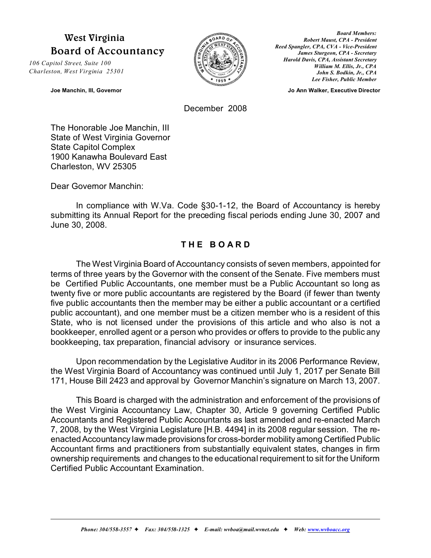# **West Virginia Board of Accountancy**

*106 Capitol Street, Suite 100 Charleston, West Virginia 25301*



*Board Members: Robert Maust, CPA - President Reed Spangler, CPA, CVA - Vice-President James Sturgeon, CPA - Secretary Harold Davis, CPA, Assistant Secretary William M. Ellis, Jr., CPA John S. Bodkin, Jr., CPA Lee Fisher, Public Member*

**Joe Manchin, III, Governor Community Community Community Community Community Community Community Community Community Community Community Community Community Community Community Community Community Community Community Comm** 

December 2008

The Honorable Joe Manchin, III State of West Virginia Governor State Capitol Complex 1900 Kanawha Boulevard East Charleston, WV 25305

Dear Governor Manchin:

In compliance with W.Va. Code §30-1-12, the Board of Accountancy is hereby submitting its Annual Report for the preceding fiscal periods ending June 30, 2007 and June 30, 2008.

# **T H E B O A R D**

The West Virginia Board of Accountancy consists of seven members, appointed for terms of three years by the Governor with the consent of the Senate. Five members must be Certified Public Accountants, one member must be a Public Accountant so long as twenty five or more public accountants are registered by the Board (if fewer than twenty five public accountants then the member may be either a public accountant or a certified public accountant), and one member must be a citizen member who is a resident of this State, who is not licensed under the provisions of this article and who also is not a bookkeeper, enrolled agent or a person who provides or offers to provide to the public any bookkeeping, tax preparation, financial advisory or insurance services.

Upon recommendation by the Legislative Auditor in its 2006 Performance Review, the West Virginia Board of Accountancy was continued until July 1, 2017 per Senate Bill 171, House Bill 2423 and approval by Governor Manchin's signature on March 13, 2007.

This Board is charged with the administration and enforcement of the provisions of the West Virginia Accountancy Law, Chapter 30, Article 9 governing Certified Public Accountants and Registered Public Accountants as last amended and re-enacted March 7, 2008, by the West Virginia Legislature [H.B. 4494] in its 2008 regular session. The reenacted Accountancy lawmade provisions for cross-border mobility among Certified Public Accountant firms and practitioners from substantially equivalent states, changes in firm ownership requirements and changes to the educational requirement to sit for the Uniform Certified Public Accountant Examination.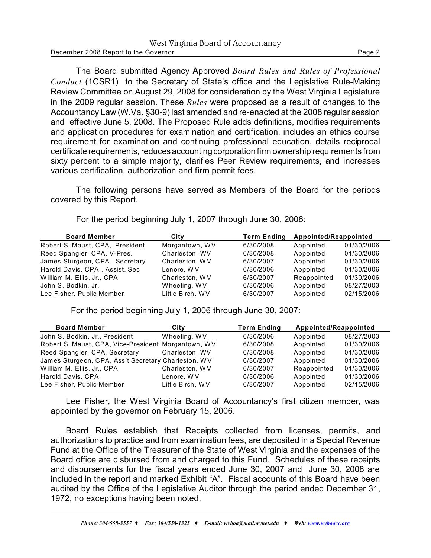| West Virginia Board of Accountancy   |        |
|--------------------------------------|--------|
| December 2008 Report to the Governor | Page 2 |

The Board submitted Agency Approved *Board Rules and Rules of Professional Conduct* (1CSR1) to the Secretary of State's office and the Legislative Rule-Making Review Committee on August 29, 2008 for consideration by the West Virginia Legislature in the 2009 regular session. These *Rules* were proposed as a result of changes to the Accountancy Law (W.Va. §30-9) last amended and re-enacted at the 2008 regular session and effective June 5, 2008. The Proposed Rule adds definitions, modifies requirements and application procedures for examination and certification, includes an ethics course requirement for examination and continuing professional education, details reciprocal certificate requirements, reduces accounting corporation firm ownership requirements from sixty percent to a simple majority, clarifies Peer Review requirements, and increases various certification, authorization and firm permit fees.

The following persons have served as Members of the Board for the periods covered by this Report.

| <b>Board Member</b>             | City             | <b>Term Ending</b> | Appointed/Reappointed |            |
|---------------------------------|------------------|--------------------|-----------------------|------------|
| Robert S. Maust, CPA, President | Morgantown, WV   | 6/30/2008          | Appointed             | 01/30/2006 |
| Reed Spangler, CPA, V-Pres.     | Charleston, WV   | 6/30/2008          | Appointed             | 01/30/2006 |
| James Sturgeon, CPA, Secretary  | Charleston, WV   | 6/30/2007          | Appointed             | 01/30/2006 |
| Harold Davis, CPA, Assist. Sec  | Lenore, WV       | 6/30/2006          | Appointed             | 01/30/2006 |
| William M. Ellis, Jr., CPA      | Charleston, WV   | 6/30/2007          | Reappointed           | 01/30/2006 |
| John S. Bodkin, Jr.             | Wheeling, WV     | 6/30/2006          | Appointed             | 08/27/2003 |
| Lee Fisher, Public Member       | Little Birch, WV | 6/30/2007          | Appointed             | 02/15/2006 |

For the period beginning July 1, 2007 through June 30, 2008:

For the period beginning July 1, 2006 through June 30, 2007:

| <b>Board Member</b>                                 | City             | <b>Term Ending</b> | Appointed/Reappointed |            |
|-----------------------------------------------------|------------------|--------------------|-----------------------|------------|
| John S. Bodkin, Jr., President                      | Wheeling, WV     | 6/30/2006          | Appointed             | 08/27/2003 |
| Robert S. Maust, CPA, Vice-President Morgantown, WV |                  | 6/30/2008          | Appointed             | 01/30/2006 |
| Reed Spangler, CPA, Secretary                       | Charleston, WV   | 6/30/2008          | Appointed             | 01/30/2006 |
| James Sturgeon, CPA, Ass't Secretary Charleston, WV |                  | 6/30/2007          | Appointed             | 01/30/2006 |
| William M. Ellis, Jr., CPA                          | Charleston, WV   | 6/30/2007          | Reappointed           | 01/30/2006 |
| Harold Davis, CPA                                   | Lenore, WV       | 6/30/2006          | Appointed             | 01/30/2006 |
| Lee Fisher, Public Member                           | Little Birch, WV | 6/30/2007          | Appointed             | 02/15/2006 |

Lee Fisher, the West Virginia Board of Accountancy's first citizen member, was appointed by the governor on February 15, 2006.

Board Rules establish that Receipts collected from licenses, permits, and authorizations to practice and from examination fees, are deposited in a Special Revenue Fund at the Office of the Treasurer of the State of West Virginia and the expenses of the Board office are disbursed from and charged to this Fund. Schedules of these receipts and disbursements for the fiscal years ended June 30, 2007 and June 30, 2008 are included in the report and marked Exhibit "A". Fiscal accounts of this Board have been audited by the Office of the Legislative Auditor through the period ended December 31, 1972, no exceptions having been noted.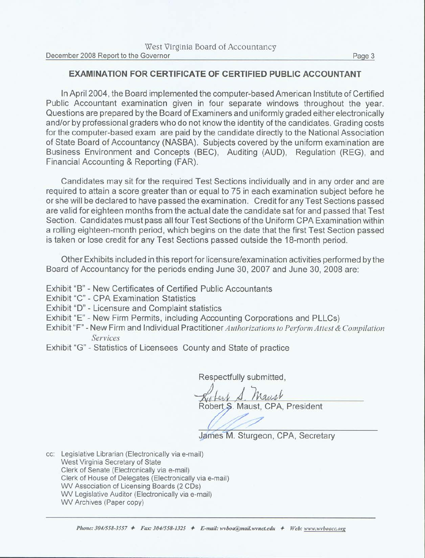# **EXAMINATION FOR CERTIFICATE OF CERTIFIED PUBLIC ACCOUNTANT**

In April 2004, the Board implemented the computer-based American Institute of Certified Public Accountant examination given in four separate windows throughout the year. Questions are prepared by the Board of Examiners and uniformly graded either electronically and/or by professional graders who do not know the identity of the candidates. Grading costs for the computer-based exam are paid by the candidate directly to the National Association of State Board of Accountancy (NASBA). Subjects covered by the uniform examination are Business Environment and Concepts (BEC), Auditing (AUD), Regulation (REG), and Financial Accounting & Reporting (FAR).

Candidates may sit for the required Test Sections individually and in any order and are required to attain a score greater than or equal to 75 in each examination subject before he or she will be declared to have passed the examination. Credit for any Test Sections passed are valid for eighteen months from the actual date the candidate sat for and passed that Test Section. Candidates must pass all four Test Sections of the Uniform CPA Examination within a rolling eighteen-month period, which begins on the date that the first Test Section passed is taken or lose credit for any Test Sections passed outside the 18-month period.

Other Exhibits included in this report for licensure/examination activities performed by the Board of Accountancy for the periods ending June 30, 2007 and June 30, 2008 are:

- Exhibit "B" New Certificates of Certified Public Accountants
- Exhibit "C" CPA Examination Statistics
- Exhibit "D" Licensure and Complaint statistics
- Exhibit "E" New Firm Permits, including Accounting Corporations and PLLCs)
- Exhibit "F" New Firm and Individual Practitioner Authorizations to Perform Attest & Compilation Services
- Exhibit "G" Statistics of Licensees County and State of practice

Respectfully submitted,

Naugh Robert S. Maust, CPA, President

James M. Sturgeon, CPA, Secretary

cc: Legislative Librarian (Electronically via e-mail) West Virginia Secretary of State Clerk of Senate (Electronically via e-mail) Clerk of House of Delegates (Electronically via e-mail) WV Association of Licensing Boards (2 CDs) WV Legislative Auditor (Electronically via e-mail) WV Archives (Paper copy)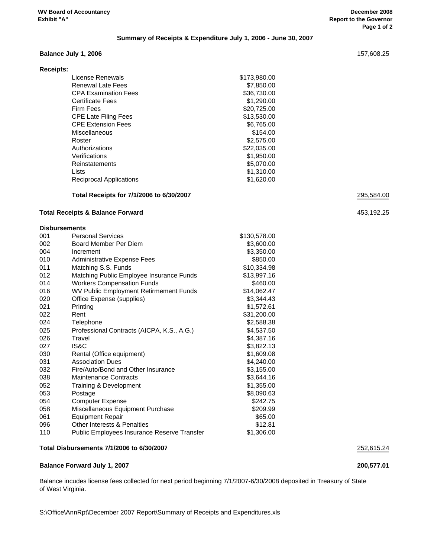# **Summary of Receipts & Expenditure July 1, 2006 - June 30, 2007**

# **Balance July 1, 2006** 157,608.25

| License Renewals               | \$173,980.00     |
|--------------------------------|------------------|
| Renewal Late Fees              | \$7,850.00       |
| <b>CPA Examination Fees</b>    | \$36,730.00      |
| <b>Certificate Fees</b>        | \$1,290.00       |
| Firm Fees                      | \$20,725.00      |
| <b>CPE Late Filing Fees</b>    | \$13,530.00      |
| <b>CPE Extension Fees</b>      | \$6,765.00       |
| Miscellaneous                  | \$154.00         |
| Roster                         | \$2,575.00       |
| Authorizations                 | \$22,035.00      |
| Verifications                  | \$1,950.00       |
| Reinstatements                 | \$5,070,00       |
| Lists                          | \$1,310.00       |
| <b>Reciprocal Applications</b> | \$1,620.00       |
|                                | <b>Receipts:</b> |

# **Total Receipts for 7/1/2006 to 6/30/2007** 295,584.00

#### **Total Receipts & Balance Forward** 453,192.25

#### **Disbursements**

| 001 | <b>Personal Services</b>                    | \$130,578.00 |
|-----|---------------------------------------------|--------------|
| 002 | Board Member Per Diem                       | \$3,600.00   |
| 004 | Increment                                   | \$3,350.00   |
| 010 | Administrative Expense Fees                 | \$850.00     |
| 011 | Matching S.S. Funds                         | \$10,334.98  |
| 012 | Matching Public Employee Insurance Funds    | \$13,997.16  |
| 014 | <b>Workers Compensation Funds</b>           | \$460.00     |
| 016 | WV Public Employment Retirmement Funds      | \$14,062.47  |
| 020 | Office Expense (supplies)                   | \$3,344.43   |
| 021 | Printing                                    | \$1,572.61   |
| 022 | Rent                                        | \$31,200.00  |
| 024 | Telephone                                   | \$2,588.38   |
| 025 | Professional Contracts (AICPA, K.S., A.G.)  | \$4,537.50   |
| 026 | Travel                                      | \$4,387.16   |
| 027 | IS&C                                        | \$3,822.13   |
| 030 | Rental (Office equipment)                   | \$1,609.08   |
| 031 | <b>Association Dues</b>                     | \$4,240.00   |
| 032 | Fire/Auto/Bond and Other Insurance          | \$3,155.00   |
| 038 | <b>Maintenance Contracts</b>                | \$3,644.16   |
| 052 | Training & Development                      | \$1,355.00   |
| 053 | Postage                                     | \$8,090.63   |
| 054 | <b>Computer Expense</b>                     | \$242.75     |
| 058 | Miscellaneous Equipment Purchase            | \$209.99     |
| 061 | <b>Equipment Repair</b>                     | \$65.00      |
| 096 | <b>Other Interests &amp; Penalties</b>      | \$12.81      |
| 110 | Public Employees Insurance Reserve Transfer | \$1,306.00   |
|     |                                             |              |

# **Total Disbursements 7/1/2006 to 6/30/2007** 252,615.24

#### **Balance Forward July 1, 2007 200,577.01**

Balance incudes license fees collected for next period beginning 7/1/2007-6/30/2008 deposited in Treasury of State of West Virginia.

S:\Office\AnnRpt\December 2007 Report\Summary of Receipts and Expenditures.xls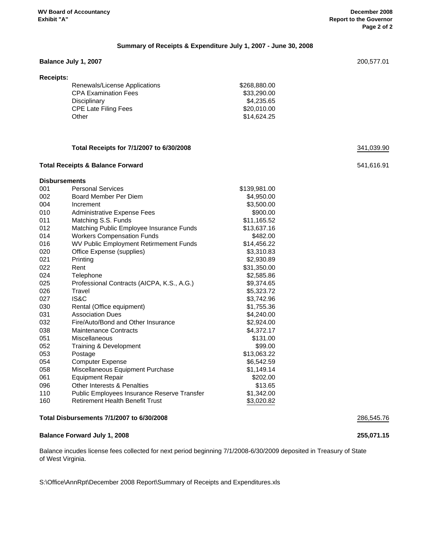# **Balance July 1, 2007** 200,577.01 **Receipts:** Renewals/License Applications  $$268,880.00$ CPA Examination Fees
<br>
S33,290.00

S Disciplinary \$4,235.65<br>CPE Late Filing Fees \$20,010.00 CPE Late Filing Fees Other \$14,624.25 **Total Receipts for 7/1/2007 to 6/30/2008** 341,039.90 **Total Receipts & Balance Forward** 541,616.91 **Disbursements** 001 Personal Services **by Contact 1001** State State State State State State State State State State State State State State State State State State State State State State State State State State State State State State St 002 Board Member Per Diem **\$4,950.00** 004 Increment \$3,500.00 010 Administrative Expense Fees \$900.00 011 Matching S.S. Funds \$11,165.52 012 Matching Public Employee Insurance Funds \$13,637.16 014 Workers Compensation Funds \$482.00 016 WV Public Employment Retirmement Funds \$14,456.22 020 Office Expense (supplies) 63,310.83 021 Printing \$2,930.89 022 Rent \$31,350.00 024 Telephone \$2,585.86 025 Professional Contracts (AICPA, K.S., A.G.) \$9,374.65 026 Travel **Travel Travel 1998** Travel **1998** Travel **\$5,323.72** 027 IS&C \$3,742.96 030 Rental (Office equipment) \$1,755.36 031 Association Dues \$4,240.00 032 Fire/Auto/Bond and Other Insurance \$2,924.00 038 Maintenance Contracts **\$4,372.17** 051 Miscellaneous **\$131.00** 052 Training & Development \$99.00 053 Postage \$13,063.22 054 Computer Expense **\$6,542.59** 058 Miscellaneous Equipment Purchase \$1,149.14 061 Equipment Repair **but a set of the COVID-1000** COVID-1000 S202.00 096 Other Interests & Penalties **613.65** Characterization of the Manual Assembly 096 Other Interests & Penalties 110 Public Employees Insurance Reserve Transfer \$1,342.00 160 Retirement Health Benefit Trust **160** \$3,020.82 **Total Disbursements 7/1/2007 to 6/30/2008** 286,545.76

**Summary of Receipts & Expenditure July 1, 2007 - June 30, 2008**

#### **Balance Forward July 1, 2008 255,071.15**

Balance incudes license fees collected for next period beginning 7/1/2008-6/30/2009 deposited in Treasury of State of West Virginia.

S:\Office\AnnRpt\December 2008 Report\Summary of Receipts and Expenditures.xls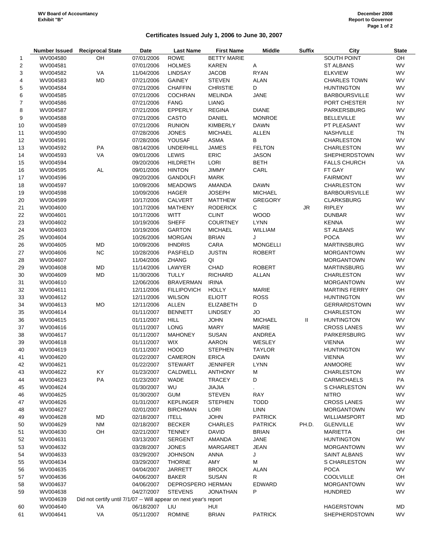# **Certificates Issued July 1, 2006 to June 30, 2007**

|                |          | Number Issued Reciprocal State                                    | Date                     | <b>Last Name</b>   | <b>First Name</b>  | <b>Middle</b>   | <b>Suffix</b> | City                                     | <b>State</b> |
|----------------|----------|-------------------------------------------------------------------|--------------------------|--------------------|--------------------|-----------------|---------------|------------------------------------------|--------------|
| 1              | WV004580 | OH                                                                | 07/01/2006               | <b>ROWE</b>        | <b>BETTY MARIE</b> |                 |               | SOUTH POINT                              | OH           |
| 2              | WV004581 |                                                                   | 07/01/2006               | <b>HOLMES</b>      | <b>KAREN</b>       | Α               |               | ST ALBANS                                | WV           |
| 3              | WV004582 | VA                                                                | 11/04/2006               | <b>LINDSAY</b>     | <b>JACOB</b>       | <b>RYAN</b>     |               | <b>ELKVIEW</b>                           | WV           |
| 4              | WV004583 | MD                                                                | 07/21/2006               | <b>GAINEY</b>      | <b>STEVEN</b>      | <b>ALAN</b>     |               | <b>CHARLES TOWN</b>                      | WV           |
| 5              | WV004584 |                                                                   | 07/21/2006               | <b>CHAFFIN</b>     | <b>CHRISTIE</b>    | D               |               | <b>HUNTINGTON</b>                        | WV           |
| 6              | WV004585 |                                                                   | 07/21/2006               | <b>COCHRAN</b>     | MELINDA            | <b>JANE</b>     |               | <b>BARBOURSVILLE</b>                     | WV           |
| $\overline{7}$ | WV004586 |                                                                   | 07/21/2006               | <b>FANG</b>        | <b>LIANG</b>       |                 |               | PORT CHESTER                             | <b>NY</b>    |
| 8              | WV004587 |                                                                   | 07/21/2006               | EPPERLY            | <b>REGINA</b>      | <b>DIANE</b>    |               | PARKERSBURG                              | WV           |
| 9              | WV004588 |                                                                   | 07/21/2006               | CASTO              | <b>DANIEL</b>      | <b>MONROE</b>   |               | <b>BELLEVILLE</b>                        | WV           |
| 10             | WV004589 |                                                                   | 07/21/2006               | <b>RUNION</b>      | <b>KIMBERLY</b>    | <b>DAWN</b>     |               | PT PLEASANT                              | WV           |
| 11             | WV004590 |                                                                   | 07/28/2006               | <b>JONES</b>       | <b>MICHAEL</b>     | ALLEN           |               | <b>NASHVILLE</b>                         | TN           |
| 12             | WV004591 |                                                                   | 07/28/2006               | YOUSAF             | ASMA               | В               |               | <b>CHARLESTON</b>                        | WV           |
| 13             | WV004592 | PA                                                                | 08/14/2006               | <b>UNDERHILL</b>   | <b>JAMES</b>       | <b>FELTON</b>   |               | <b>CHARLESTON</b>                        | WV           |
| 14             | WV004593 | VA                                                                | 09/01/2006               | <b>LEWIS</b>       | <b>ERIC</b>        | <b>JASON</b>    |               | <b>SHEPHERDSTOWN</b>                     | WV           |
| 15             | WV004594 |                                                                   | 09/20/2006               | <b>HILDRETH</b>    | LORI               | <b>BETH</b>     |               | <b>FALLS CHURCH</b>                      | VA           |
| 16             | WV004595 | <b>AL</b>                                                         | 09/01/2006               | <b>HINTON</b>      | <b>JIMMY</b>       | CARL            |               | FT GAY                                   | WV           |
| 17             | WV004596 |                                                                   | 09/20/2006               | <b>GANDOLFI</b>    | <b>MARK</b>        |                 |               | <b>FAIRMONT</b>                          | WV           |
| 18             | WV004597 |                                                                   | 10/09/2006               | <b>MEADOWS</b>     | <b>AMANDA</b>      | <b>DAWN</b>     |               | <b>CHARLESTON</b>                        | WV           |
| 19             | WV004598 |                                                                   | 10/09/2006               | <b>HAGER</b>       | <b>JOSEPH</b>      | <b>MICHAEL</b>  |               | <b>BARBOURSVILLE</b>                     | WV           |
| 20             | WV004599 |                                                                   | 10/17/2006               | <b>CALVERT</b>     | <b>MATTHEW</b>     | <b>GREGORY</b>  |               | <b>CLARKSBURG</b>                        | WV           |
| 21             | WV004600 |                                                                   | 10/17/2006               | <b>MATHENY</b>     | <b>RODERICK</b>    | C               | <b>JR</b>     | <b>RIPLEY</b>                            | WV           |
| 22             | WV004601 |                                                                   | 10/17/2006               | <b>WITT</b>        | <b>CLINT</b>       | <b>WOOD</b>     |               | <b>DUNBAR</b>                            | WV           |
| 23             | WV004602 |                                                                   | 10/19/2006               | <b>SHEFF</b>       | <b>COURTNEY</b>    | <b>LYNN</b>     |               | KENNA                                    | WV           |
| 24             | WV004603 |                                                                   | 10/19/2006               | <b>GARTON</b>      | <b>MICHAEL</b>     | WILLIAM         |               | ST ALBANS                                | WV           |
| 25             | WV004604 |                                                                   | 10/26/2006               | <b>MORGAN</b>      | <b>BRIAN</b>       | J               |               | <b>POCA</b>                              | WV           |
| 26             | WV004605 | MD                                                                | 10/09/2006               | <b>IHNDRIS</b>     | CARA               | <b>MONGELLI</b> |               | <b>MARTINSBURG</b>                       | WV           |
| 27             | WV004606 | NC                                                                | 10/28/2006               | <b>PASFIELD</b>    | <b>JUSTIN</b>      | <b>ROBERT</b>   |               | <b>MORGANTOWN</b>                        | WV           |
| 28             | WV004607 |                                                                   | 11/04/2006               | <b>ZHANG</b>       | QI                 |                 |               | <b>MORGANTOWN</b>                        | WV           |
| 29             | WV004608 | MD                                                                | 11/14/2006               | LAWYER             | CHAD               | <b>ROBERT</b>   |               | <b>MARTINSBURG</b>                       | WV           |
| 30             | WV004609 | MD                                                                | 11/30/2006               | <b>TULLY</b>       | <b>RICHARD</b>     | <b>ALLAN</b>    |               | <b>CHARLESTON</b>                        | WV           |
| 31             | WV004610 |                                                                   | 12/06/2006               | <b>BRAVERMAN</b>   | <b>IRINA</b>       |                 |               | <b>MORGANTOWN</b>                        | WV           |
| 32             | WV004611 |                                                                   | 12/11/2006               | <b>FILLIPOVICH</b> | <b>HOLLY</b>       | <b>MARIE</b>    |               | <b>MARTINS FERRY</b>                     | OH           |
| 33             | WV004612 |                                                                   | 12/11/2006               | <b>WILSON</b>      | <b>ELIOTT</b>      | <b>ROSS</b>     |               | <b>HUNTINGTON</b>                        | WV           |
| 34             | WV004613 | MO                                                                | 12/11/2006               | <b>ALLEN</b>       | <b>ELIZABETH</b>   | D               |               | <b>GERRARDSTOWN</b>                      | WV           |
|                |          |                                                                   |                          | <b>BENNETT</b>     | <b>LINDSEY</b>     | <b>JO</b>       |               | CHARLESTON                               | WV           |
| 35             | WV004614 |                                                                   | 01/11/2007<br>01/11/2007 | <b>HILL</b>        | <b>JOHN</b>        | <b>MICHAEL</b>  |               | <b>HUNTINGTON</b>                        | WV           |
| 36             | WV004615 |                                                                   |                          |                    |                    |                 | Ш.            |                                          | WV           |
| 37             | WV004616 |                                                                   | 01/11/2007               | <b>LONG</b>        | <b>MARY</b>        | <b>MARIE</b>    |               | <b>CROSS LANES</b><br><b>PARKERSBURG</b> | WV           |
| 38             | WV004617 |                                                                   | 01/11/2007               | <b>MAHONEY</b>     | <b>SUSAN</b>       | ANDREA          |               |                                          | WV           |
| 39             | WV004618 |                                                                   | 01/11/2007               | <b>WIX</b>         | AARON              | WESLEY          |               | <b>VIENNA</b>                            | WV           |
| 40             | WV004619 |                                                                   | 01/11/2007               | <b>HOOD</b>        | <b>STEPHEN</b>     | <b>TAYLOR</b>   |               | <b>HUNTINGTON</b>                        |              |
| 41             | WV004620 |                                                                   | 01/22/2007               | CAMERON            | <b>ERICA</b>       | <b>DAWN</b>     |               | <b>VIENNA</b>                            | WV           |
| 42             | WV004621 |                                                                   | 01/22/2007               | <b>STEWART</b>     | <b>JENNIFER</b>    | <b>LYNN</b>     |               | <b>ANMOORE</b>                           | WV           |
| 43             | WV004622 | KY                                                                | 01/23/2007               | CALDWELL           | <b>ANTHONY</b>     | M               |               | <b>CHARLESTON</b>                        | WV           |
| 44             | WV004623 | PA                                                                | 01/23/2007               | WADE               | <b>TRACEY</b>      | D               |               | <b>CARMICHAELS</b>                       | PA           |
| 45             | WV004624 |                                                                   | 01/30/2007               | WU                 | <b>JIAJIA</b>      |                 |               | S CHARLESTON                             | WV           |
| 46             | WV004625 |                                                                   | 01/30/2007               | <b>GUM</b>         | <b>STEVEN</b>      | <b>RAY</b>      |               | <b>NITRO</b>                             | WV           |
| 47             | WV004626 |                                                                   | 01/31/2007               | <b>KEPLINGER</b>   | <b>STEPHEN</b>     | <b>TODD</b>     |               | <b>CROSS LANES</b>                       | WV           |
| 48             | WV004627 |                                                                   | 02/01/2007               | <b>BIRCHMAN</b>    | LORI               | <b>LINN</b>     |               | <b>MORGANTOWN</b>                        | WV           |
| 49             | WV004628 | MD                                                                | 02/18/2007               | <b>ITELL</b>       | <b>JOHN</b>        | <b>PATRICK</b>  |               | WILLIAMSPORT                             | MD           |
| 50             | WV004629 | <b>NM</b>                                                         | 02/18/2007               | <b>BECKER</b>      | <b>CHARLES</b>     | <b>PATRICK</b>  | PH.D.         | <b>GLENVILLE</b>                         | WV           |
| 51             | WV004630 | OH                                                                | 02/21/2007               | <b>TENNEY</b>      | <b>DAVID</b>       | <b>BRIAN</b>    |               | <b>MARIETTA</b>                          | OH           |
| 52             | WV004631 |                                                                   | 03/13/2007               | <b>SERGENT</b>     | AMANDA             | <b>JANE</b>     |               | <b>HUNTINGTON</b>                        | WV           |
| 53             | WV004632 |                                                                   | 03/28/2007               | <b>JONES</b>       | MARGARET           | <b>JEAN</b>     |               | <b>MORGANTOWN</b>                        | WV           |
| 54             | WV004633 |                                                                   | 03/29/2007               | <b>JOHNSON</b>     | ANNA               | J               |               | SAINT ALBANS                             | WV           |
| 55             | WV004634 |                                                                   | 03/29/2007               | <b>THORNE</b>      | AMY                | м               |               | <b>S CHARLESTON</b>                      | WV           |
| 56             | WV004635 |                                                                   | 04/04/2007               | <b>JARRETT</b>     | <b>BROCK</b>       | <b>ALAN</b>     |               | <b>POCA</b>                              | WV           |
| 57             | WV004636 |                                                                   | 04/06/2007               | <b>BAKER</b>       | <b>SUSAN</b>       | R               |               | <b>COOLVILLE</b>                         | OH           |
| 58             | WV004637 |                                                                   | 04/06/2007               | DEPROSPERO HERMAN  |                    | <b>EDWARD</b>   |               | <b>MORGANTOWN</b>                        | WV           |
| 59             | WV004638 |                                                                   | 04/27/2007               | <b>STEVENS</b>     | JONATHAN           | P               |               | <b>HUNDRED</b>                           | WV           |
|                | WV004639 | Did not certify until 7/1/07 -- Will appear on next year's report |                          |                    |                    |                 |               |                                          |              |
| 60             | WV004640 | VA                                                                | 06/18/2007               | LIU                | HUI                |                 |               | <b>HAGERSTOWN</b>                        | MD           |
| 61             | WV004641 | VA                                                                | 05/11/2007               | <b>ROMINE</b>      | <b>BRIAN</b>       | <b>PATRICK</b>  |               | <b>SHEPHERDSTOWN</b>                     | WV           |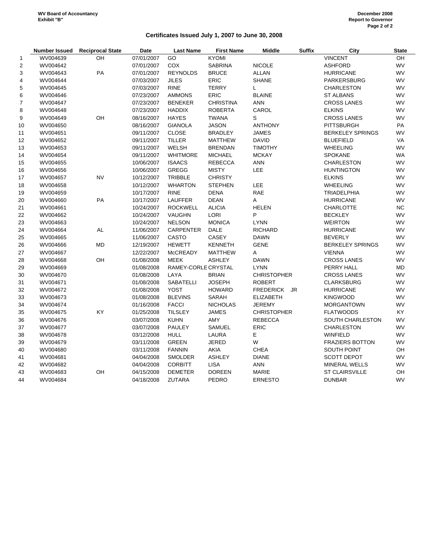# **Certificates Issued July 1, 2007 to June 30, 2008**

|                | <b>Number Issued</b> | <b>Reciprocal State</b> | Date       | <b>Last Name</b>    | <b>First Name</b> | <b>Middle</b>      | <b>Suffix</b> | City                    | <b>State</b> |
|----------------|----------------------|-------------------------|------------|---------------------|-------------------|--------------------|---------------|-------------------------|--------------|
| 1              | WV004639             | OH                      | 07/01/2007 | GO                  | <b>KYOMI</b>      |                    |               | <b>VINCENT</b>          | OH           |
| $\overline{2}$ | WV004642             |                         | 07/01/2007 | COX                 | <b>SABRINA</b>    | <b>NICOLE</b>      |               | <b>ASHFORD</b>          | <b>WV</b>    |
| 3              | WV004643             | PA                      | 07/01/2007 | <b>REYNOLDS</b>     | <b>BRUCE</b>      | <b>ALLAN</b>       |               | <b>HURRICANE</b>        | <b>WV</b>    |
| $\overline{4}$ | WV004644             |                         | 07/03/2007 | <b>JILES</b>        | <b>ERIC</b>       | <b>SHANE</b>       |               | PARKERSBURG             | <b>WV</b>    |
| $\mathbf 5$    | WV004645             |                         | 07/03/2007 | <b>RINE</b>         | <b>TERRY</b>      | L                  |               | <b>CHARLESTON</b>       | <b>WV</b>    |
| 6              | WV004646             |                         | 07/23/2007 | <b>AMMONS</b>       | <b>ERIC</b>       | <b>BLAINE</b>      |               | <b>ST ALBANS</b>        | <b>WV</b>    |
| $\overline{7}$ | WV004647             |                         | 07/23/2007 | <b>BENEKER</b>      | <b>CHRISTINA</b>  | <b>ANN</b>         |               | <b>CROSS LANES</b>      | <b>WV</b>    |
| 8              | WV004648             |                         | 07/23/2007 | <b>HADDIX</b>       | <b>ROBERTA</b>    | CAROL              |               | <b>ELKINS</b>           | <b>WV</b>    |
| 9              | WV004649             | OH                      | 08/16/2007 | <b>HAYES</b>        | <b>TWANA</b>      | S                  |               | <b>CROSS LANES</b>      | WV           |
| 10             | WV004650             |                         | 08/16/2007 | <b>GIANOLA</b>      | <b>JASON</b>      | <b>ANTHONY</b>     |               | <b>PITTSBURGH</b>       | PA           |
| 11             | WV004651             |                         | 09/11/2007 | <b>CLOSE</b>        | <b>BRADLEY</b>    | <b>JAMES</b>       |               | <b>BERKELEY SPRINGS</b> | <b>WV</b>    |
| 12             | WV004652             |                         | 09/11/2007 | <b>TILLER</b>       | <b>MATTHEW</b>    | <b>DAVID</b>       |               | <b>BLUEFIELD</b>        | VA           |
| 13             | WV004653             |                         | 09/11/2007 | <b>WELSH</b>        | <b>BRENDAN</b>    | <b>TIMOTHY</b>     |               | <b>WHEELING</b>         | <b>WV</b>    |
| 14             | WV004654             |                         | 09/11/2007 | <b>WHITMORE</b>     | <b>MICHAEL</b>    | <b>MCKAY</b>       |               | <b>SPOKANE</b>          | <b>WA</b>    |
| 15             | WV004655             |                         | 10/06/2007 | <b>ISAACS</b>       | <b>REBECCA</b>    | <b>ANN</b>         |               | <b>CHARLESTON</b>       | <b>WV</b>    |
| 16             | WV004656             |                         | 10/06/2007 | <b>GREGG</b>        | <b>MISTY</b>      | LEE                |               | <b>HUNTINGTON</b>       | <b>WV</b>    |
| 17             | WV004657             | <b>NV</b>               | 10/12/2007 | <b>TRIBBLE</b>      | <b>CHRISTY</b>    |                    |               | <b>ELKINS</b>           | <b>WV</b>    |
| 18             | WV004658             |                         | 10/12/2007 | <b>WHARTON</b>      | <b>STEPHEN</b>    | <b>LEE</b>         |               | <b>WHEELING</b>         | <b>WV</b>    |
| 19             | WV004659             |                         | 10/17/2007 | <b>RINE</b>         | <b>DENA</b>       | RAE                |               | TRIADELPHIA             | <b>WV</b>    |
| 20             | WV004660             | PA                      | 10/17/2007 | <b>LAUFFER</b>      | <b>DEAN</b>       | Α                  |               | <b>HURRICANE</b>        | <b>WV</b>    |
| 21             | WV004661             |                         | 10/24/2007 | <b>ROCKWELL</b>     | <b>ALICIA</b>     | <b>HELEN</b>       |               | <b>CHARLOTTE</b>        | <b>NC</b>    |
| 22             | WV004662             |                         | 10/24/2007 | VAUGHN              | LORI              | P                  |               | <b>BECKLEY</b>          | <b>WV</b>    |
| 23             | WV004663             |                         | 10/24/2007 | <b>NELSON</b>       | <b>MONICA</b>     | <b>LYNN</b>        |               | <b>WEIRTON</b>          | <b>WV</b>    |
| 24             | WV004664             | AL                      | 11/06/2007 | <b>CARPENTER</b>    | <b>DALE</b>       | <b>RICHARD</b>     |               | <b>HURRICANE</b>        | <b>WV</b>    |
| 25             | WV004665             |                         | 11/06/2007 | CASTO               | CASEY             | <b>DAWN</b>        |               | <b>BEVERLY</b>          | <b>WV</b>    |
| 26             | WV004666             | MD                      | 12/19/2007 | <b>HEWETT</b>       | <b>KENNETH</b>    | <b>GENE</b>        |               | <b>BERKELEY SPRINGS</b> | <b>WV</b>    |
| 27             | WV004667             |                         | 12/22/2007 | <b>McCREADY</b>     | <b>MATTHEW</b>    | A                  |               | <b>VIENNA</b>           | <b>WV</b>    |
| 28             | WV004668             | OH                      | 01/08/2008 | <b>MEEK</b>         | <b>ASHLEY</b>     | <b>DAWN</b>        |               | <b>CROSS LANES</b>      | WV           |
| 29             | WV004669             |                         | 01/08/2008 | RAMEY-CORLE CRYSTAL |                   | <b>LYNN</b>        |               | PERRY HALL              | MD           |
| 30             | WV004670             |                         | 01/08/2008 | LAYA                | <b>BRIAN</b>      | <b>CHRISTOPHER</b> |               | <b>CROSS LANES</b>      | WV           |
| 31             | WV004671             |                         | 01/08/2008 | SABATELLI           | <b>JOSEPH</b>     | <b>ROBERT</b>      |               | <b>CLARKSBURG</b>       | WV           |
| 32             | WV004672             |                         | 01/08/2008 | <b>YOST</b>         | <b>HOWARD</b>     | FREDERICK JR       |               | <b>HURRICANE</b>        | WV           |
| 33             | WV004673             |                         | 01/08/2008 | <b>BLEVINS</b>      | SARAH             | <b>ELIZABETH</b>   |               | <b>KINGWOOD</b>         | WV           |
| 34             | WV004674             |                         | 01/16/2008 | <b>FACCI</b>        | <b>NICHOLAS</b>   | <b>JEREMY</b>      |               | <b>MORGANTOWN</b>       | WV           |
| 35             | WV004675             | KY                      | 01/25/2008 | <b>TILSLEY</b>      | <b>JAMES</b>      | <b>CHRISTOPHER</b> |               | <b>FLATWOODS</b>        | KY           |
| 36             | WV004676             |                         | 03/07/2008 | <b>KUHN</b>         | AMY               | <b>REBECCA</b>     |               | SOUTH CHARLESTON        | WV           |
| 37             | WV004677             |                         | 03/07/2008 | <b>PAULEY</b>       | SAMUEL            | ERIC               |               | <b>CHARLESTON</b>       | WV           |
| 38             | WV004678             |                         | 03/12/2008 | <b>HULL</b>         | LAURA             | E                  |               | <b>WINFIELD</b>         | WV           |
| 39             | WV004679             |                         | 03/11/2008 | <b>GREEN</b>        | <b>JERED</b>      | W                  |               | <b>FRAZIERS BOTTON</b>  | WV           |
| 40             | WV004680             |                         | 03/11/2008 | <b>FANNIN</b>       | AKIA              | CHEA               |               | SOUTH POINT             | OH           |
| 41             | WV004681             |                         | 04/04/2008 | <b>SMOLDER</b>      | <b>ASHLEY</b>     | <b>DIANE</b>       |               | <b>SCOTT DEPOT</b>      | WV           |
| 42             | WV004682             |                         | 04/04/2008 | <b>CORBITT</b>      | <b>LISA</b>       | <b>ANN</b>         |               | <b>MINERAL WELLS</b>    | WV           |
| 43             | WV004683             | OH                      | 04/15/2008 | <b>DEMETER</b>      | <b>DOREEN</b>     | MARIE              |               | <b>ST CLAIRSVILLE</b>   | OH           |
| 44             | WV004684             |                         | 04/18/2008 | <b>ZUTARA</b>       | PEDRO             | <b>ERNESTO</b>     |               | <b>DUNBAR</b>           | WV           |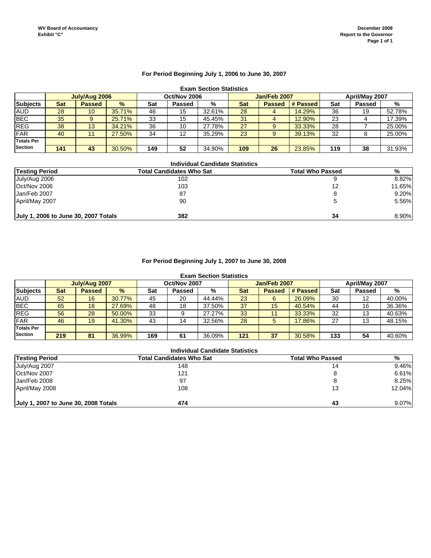# **For Period Beginning July 1, 2006 to June 30, 2007**

# **Exam Section Statistics**

|                   |     | July/Aug 2006 |        |     | Oct/Nov 2006 |        |     | Jan/Feb 2007  |          |     | April/May 2007 |        |
|-------------------|-----|---------------|--------|-----|--------------|--------|-----|---------------|----------|-----|----------------|--------|
| <b>Subjects</b>   | Sat | <b>Passed</b> | $\%$   | Sat | Passed       | %      | Sat | <b>Passed</b> | # Passed | Sat | <b>Passed</b>  | %      |
| <b>AUD</b>        | 28  | 10            | 35.71% | 46  | 15           | 32.61% | 28  |               | 14.29%   | 36  | 19             | 52.78% |
| <b>BEC</b>        | 35  |               | 25.71% | 33  | 15           | 45.45% | 31  |               | 12.90%   | 23  |                | 17.39% |
| <b>REG</b>        | 38  | 13            | 34.21% | 36  | 10           | 27.78% | 27  |               | 33.33%   | 28  |                | 25.00% |
| <b>FAR</b>        | 40  | 11            | 27.50% | 34  | 12           | 35.29% | 23  |               | 39.13%   | 32  |                | 25.00% |
| <b>Totals Per</b> |     |               |        |     |              |        |     |               |          |     |                |        |
| <b>Section</b>    | 141 | 43            | 30.50% | 149 | 52           | 34.90% | 109 | 26            | 23.85%   | 119 | 38             | 31.93% |

#### **Individual Candidate Statistics**

| <b>Testing Period</b>                | Total Candidates Who Sat | <b>Total Who Passed</b> | %      |
|--------------------------------------|--------------------------|-------------------------|--------|
| July/Aug 2006                        | 102                      |                         | 8.82%  |
| Oct/Nov 2006                         | 103                      | 12                      | 11.65% |
| Jan/Feb 2007                         | 87                       | 8                       | 9.20%  |
| April/May 2007                       | 90                       |                         | 5.56%  |
| July 1, 2006 to June 30, 2007 Totals | 382                      | 34                      | 8.90%  |

# **For Period Beginning July 1, 2007 to June 30, 2008**

#### **Exam Section Statistics**

|                   |     | July/Aug 2007 |        |     | Oct/Nov 2007 |        |     | Jan/Feb 2007  |          |     | April/May 2007 |        |
|-------------------|-----|---------------|--------|-----|--------------|--------|-----|---------------|----------|-----|----------------|--------|
| <b>Subjects</b>   | Sat | <b>Passed</b> | $\%$   | Sat | Passed       | %      | Sat | <b>Passed</b> | # Passed | Sat | <b>Passed</b>  | %      |
| <b>AUD</b>        | 52  | 16            | 30.77% | 45  | 20           | 44.44% | 23  |               | 26.09%   | 30  | 12             | 40.00% |
| <b>BEC</b>        | 65  | 18            | 27.69% | 48  | 18           | 37.50% | 37  | 15            | 40.54%   | 44  | 16             | 36.36% |
| <b>REG</b>        | 56  | 28            | 50.00% | 33  |              | 27.27% | 33  |               | 33.33%   | 32  | 13             | 40.63% |
| <b>FAR</b>        | 46  | 19            | 41.30% | 43  | 14           | 32.56% | 28  |               | 17.86%   | 27  | 13             | 48.15% |
| <b>Totals Per</b> |     |               |        |     |              |        |     |               |          |     |                |        |
| <b>Section</b>    | 219 | 81            | 36.99% | 169 | 61           | 36.09% | 121 | 37            | 30.58%   | 133 | 54             | 40.60% |

| <b>Testing Period</b>                | Total Candidates Who Sat | <b>Total Who Passed</b> | %      |
|--------------------------------------|--------------------------|-------------------------|--------|
| July/Aug 2007                        | 148                      | 14                      | 9.46%  |
| Oct/Nov 2007                         | 121                      |                         | 6.61%  |
| Jan/Feb 2008                         | 97                       | 8                       | 8.25%  |
| April/May 2008                       | 108                      | 13                      | 12.04% |
| July 1, 2007 to June 30, 2008 Totals | 474                      | 43                      | 9.07%  |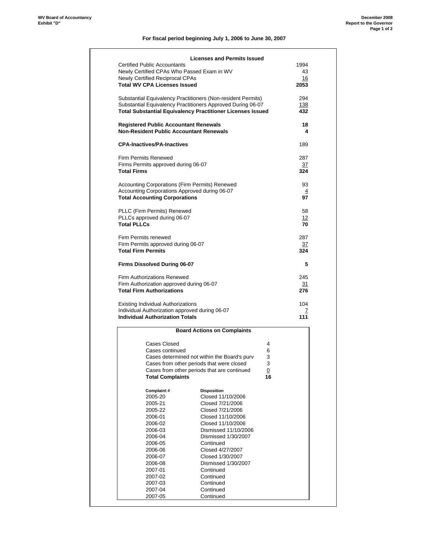#### **December 2008 Report to the Governor Page 1 of 2**

# **For fiscal period beginning July 1, 2006 to June 30, 2007**

|                    |                                              | <b>Licenses and Permits Issued</b>                                                                                               |                      |                  |
|--------------------|----------------------------------------------|----------------------------------------------------------------------------------------------------------------------------------|----------------------|------------------|
|                    | <b>Certified Public Accountants</b>          |                                                                                                                                  |                      | 1994             |
|                    |                                              | Newly Certified CPAs Who Passed Exam in WV                                                                                       |                      | 43               |
|                    | Newly Certified Reciprocal CPAs              |                                                                                                                                  |                      | 16               |
|                    | <b>Total WV CPA Licenses Issued</b>          |                                                                                                                                  |                      | 2053             |
|                    |                                              | Substantial Equivalency Practitioners (Non-resident Permits)                                                                     |                      | 294              |
|                    |                                              | Substantial Equivalency Practitioners Approved During 06-07<br><b>Total Substantial Equivalency Practitioner Licenses Issued</b> |                      | 138<br>432       |
|                    |                                              |                                                                                                                                  |                      |                  |
|                    | <b>Registered Public Accountant Renewals</b> | <b>Non-Resident Public Accountant Renewals</b>                                                                                   |                      | 18<br>4          |
|                    | <b>CPA-Inactives/PA-Inactives</b>            |                                                                                                                                  |                      | 189              |
|                    | Firm Permits Renewed                         |                                                                                                                                  |                      | 287              |
|                    | Firms Permits approved during 06-07          |                                                                                                                                  |                      | <u>37</u>        |
| <b>Total Firms</b> |                                              |                                                                                                                                  |                      | 324              |
|                    |                                              | Accounting Corporations (Firm Permits) Renewed                                                                                   |                      | 93               |
|                    |                                              | Accounting Corporations Approved during 06-07                                                                                    |                      | $\overline{4}$   |
|                    | <b>Total Accounting Corporations</b>         |                                                                                                                                  |                      | 97               |
|                    | PLLC (Firm Permits) Renewed                  |                                                                                                                                  |                      | 58               |
|                    | PLLCs approved during 06-07                  |                                                                                                                                  |                      | 12               |
| <b>Total PLLCs</b> |                                              |                                                                                                                                  |                      | 70               |
|                    | Firm Permits renewed                         |                                                                                                                                  |                      | 287              |
|                    | Firm Permits approved during 06-07           |                                                                                                                                  |                      | <u>37</u>        |
|                    | <b>Total Firm Permits</b>                    |                                                                                                                                  |                      | 324              |
|                    |                                              |                                                                                                                                  |                      | 5                |
|                    | Firms Dissolved During 06-07                 |                                                                                                                                  |                      |                  |
|                    | Firm Authorizations Renewed                  |                                                                                                                                  |                      |                  |
|                    | Firm Authorization approved during 06-07     |                                                                                                                                  |                      |                  |
|                    | <b>Total Firm Authorizations</b>             |                                                                                                                                  |                      | 245<br>31<br>276 |
|                    | <b>Existing Individual Authorizations</b>    |                                                                                                                                  |                      | 104              |
|                    |                                              | Individual Authorization approved during 06-07                                                                                   |                      | 7                |
|                    | <b>Individual Authorization Totals</b>       |                                                                                                                                  |                      | 111              |
|                    |                                              | <b>Board Actions on Complaints</b>                                                                                               |                      |                  |
|                    |                                              |                                                                                                                                  |                      |                  |
|                    | Cases Closed                                 |                                                                                                                                  | 4                    |                  |
|                    | Cases continued                              |                                                                                                                                  | 6                    |                  |
|                    |                                              | Cases determined not within the Board's purv                                                                                     | 3                    |                  |
|                    |                                              | Cases from other periods that were closed                                                                                        | 3                    |                  |
|                    | <b>Total Complaints</b>                      | Cases from other periods that are continued                                                                                      | $\overline{0}$<br>16 |                  |
|                    |                                              |                                                                                                                                  |                      |                  |
|                    | Complaint #                                  | <b>Disposition</b>                                                                                                               |                      |                  |
|                    | 2005-20                                      | Closed 11/10/2006                                                                                                                |                      |                  |
|                    | 2005-21                                      | Closed 7/21/2006                                                                                                                 |                      |                  |
|                    | 2005-22                                      | Closed 7/21/2006                                                                                                                 |                      |                  |
|                    | 2006-01                                      | Closed 11/10/2006                                                                                                                |                      |                  |
|                    | 2006-02                                      | Closed 11/10/2006                                                                                                                |                      |                  |
|                    | 2006-03                                      | Dismissed 11/10/2006                                                                                                             |                      |                  |
|                    | 2006-04                                      | Dismissed 1/30/2007                                                                                                              |                      |                  |
|                    | 2006-05                                      | Continued                                                                                                                        |                      |                  |
|                    | 2006-06                                      | Closed 4/27/2007                                                                                                                 |                      |                  |
|                    | 2006-07                                      | Closed 1/30/2007                                                                                                                 |                      |                  |
|                    | 2006-08                                      | Dismissed 1/30/2007                                                                                                              |                      |                  |
|                    | 2007-01                                      | Continued                                                                                                                        |                      |                  |
|                    | 2007-02                                      | Continued                                                                                                                        |                      |                  |
|                    | 2007-03<br>2007-04                           | Continued<br>Continued                                                                                                           |                      |                  |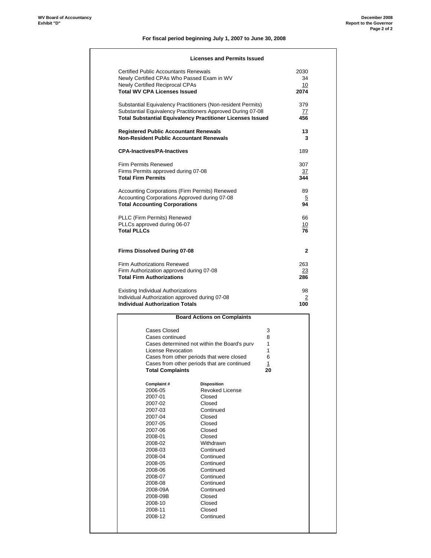# **For fiscal period beginning July 1, 2007 to June 30, 2008**

| <b>Certified Public Accountants Renewals</b><br>2030<br>Newly Certified CPAs Who Passed Exam in WV<br>34<br>Newly Certified Reciprocal CPAs<br>10<br><b>Total WV CPA Licenses Issued</b><br>2074<br>Substantial Equivalency Practitioners (Non-resident Permits)<br>379<br>Substantial Equivalency Practitioners Approved During 07-08<br>77<br><b>Total Substantial Equivalency Practitioner Licenses Issued</b><br>456<br><b>Registered Public Accountant Renewals</b><br>13<br><b>Non-Resident Public Accountant Renewals</b><br>3<br><b>CPA-Inactives/PA-Inactives</b><br>189<br>307<br>Firms Permits approved during 07-08<br><u>37</u><br><b>Total Firm Permits</b><br>344<br>Accounting Corporations (Firm Permits) Renewed<br>89<br>Accounting Corporations Approved during 07-08<br>5<br><b>Total Accounting Corporations</b><br>94<br>PLLC (Firm Permits) Renewed<br>66<br>PLLCs approved during 06-07<br><u> 10</u><br><b>Total PLLCs</b><br>76<br>Firms Dissolved During 07-08<br>$\mathbf{2}$<br>Firm Authorizations Renewed<br>263<br>Firm Authorization approved during 07-08<br>23<br><b>Total Firm Authorizations</b><br>286<br>Existing Individual Authorizations<br>98<br>Individual Authorization approved during 07-08<br>2<br><b>Individual Authorization Totals</b><br>100<br><b>Board Actions on Complaints</b><br>Cases Closed<br>3<br>Cases continued<br>8<br>Cases determined not within the Board's purv<br>1<br>License Revocation<br>1<br>Cases from other periods that were closed<br>6<br>Cases from other periods that are continued<br>1<br><b>Total Complaints</b><br>20<br>Complaint#<br><b>Disposition</b><br>2006-05<br><b>Revoked License</b><br>2007-01<br>Closed<br>2007-02<br>Closed<br>Continued<br>2007-03<br>Closed<br>2007-04<br>Closed<br>2007-05<br>2007-06<br>Closed<br>2008-01<br>Closed<br>2008-02<br>Withdrawn<br>Continued<br>2008-03<br>Continued<br>2008-04<br>Continued<br>2008-05<br>2008-06<br>Continued<br>Continued<br>2008-07<br>2008-08<br>Continued<br>2008-09A<br>Continued<br>Closed<br>2008-09B<br>2008-10<br>Closed<br>2008-11<br>Closed<br>2008-12<br>Continued |                             |  |  |
|-------------------------------------------------------------------------------------------------------------------------------------------------------------------------------------------------------------------------------------------------------------------------------------------------------------------------------------------------------------------------------------------------------------------------------------------------------------------------------------------------------------------------------------------------------------------------------------------------------------------------------------------------------------------------------------------------------------------------------------------------------------------------------------------------------------------------------------------------------------------------------------------------------------------------------------------------------------------------------------------------------------------------------------------------------------------------------------------------------------------------------------------------------------------------------------------------------------------------------------------------------------------------------------------------------------------------------------------------------------------------------------------------------------------------------------------------------------------------------------------------------------------------------------------------------------------------------------------------------------------------------------------------------------------------------------------------------------------------------------------------------------------------------------------------------------------------------------------------------------------------------------------------------------------------------------------------------------------------------------------------------------------------------------------------------------------------------------------------------------------------------------|-----------------------------|--|--|
|                                                                                                                                                                                                                                                                                                                                                                                                                                                                                                                                                                                                                                                                                                                                                                                                                                                                                                                                                                                                                                                                                                                                                                                                                                                                                                                                                                                                                                                                                                                                                                                                                                                                                                                                                                                                                                                                                                                                                                                                                                                                                                                                     |                             |  |  |
|                                                                                                                                                                                                                                                                                                                                                                                                                                                                                                                                                                                                                                                                                                                                                                                                                                                                                                                                                                                                                                                                                                                                                                                                                                                                                                                                                                                                                                                                                                                                                                                                                                                                                                                                                                                                                                                                                                                                                                                                                                                                                                                                     |                             |  |  |
|                                                                                                                                                                                                                                                                                                                                                                                                                                                                                                                                                                                                                                                                                                                                                                                                                                                                                                                                                                                                                                                                                                                                                                                                                                                                                                                                                                                                                                                                                                                                                                                                                                                                                                                                                                                                                                                                                                                                                                                                                                                                                                                                     |                             |  |  |
|                                                                                                                                                                                                                                                                                                                                                                                                                                                                                                                                                                                                                                                                                                                                                                                                                                                                                                                                                                                                                                                                                                                                                                                                                                                                                                                                                                                                                                                                                                                                                                                                                                                                                                                                                                                                                                                                                                                                                                                                                                                                                                                                     |                             |  |  |
|                                                                                                                                                                                                                                                                                                                                                                                                                                                                                                                                                                                                                                                                                                                                                                                                                                                                                                                                                                                                                                                                                                                                                                                                                                                                                                                                                                                                                                                                                                                                                                                                                                                                                                                                                                                                                                                                                                                                                                                                                                                                                                                                     |                             |  |  |
|                                                                                                                                                                                                                                                                                                                                                                                                                                                                                                                                                                                                                                                                                                                                                                                                                                                                                                                                                                                                                                                                                                                                                                                                                                                                                                                                                                                                                                                                                                                                                                                                                                                                                                                                                                                                                                                                                                                                                                                                                                                                                                                                     |                             |  |  |
|                                                                                                                                                                                                                                                                                                                                                                                                                                                                                                                                                                                                                                                                                                                                                                                                                                                                                                                                                                                                                                                                                                                                                                                                                                                                                                                                                                                                                                                                                                                                                                                                                                                                                                                                                                                                                                                                                                                                                                                                                                                                                                                                     |                             |  |  |
|                                                                                                                                                                                                                                                                                                                                                                                                                                                                                                                                                                                                                                                                                                                                                                                                                                                                                                                                                                                                                                                                                                                                                                                                                                                                                                                                                                                                                                                                                                                                                                                                                                                                                                                                                                                                                                                                                                                                                                                                                                                                                                                                     |                             |  |  |
|                                                                                                                                                                                                                                                                                                                                                                                                                                                                                                                                                                                                                                                                                                                                                                                                                                                                                                                                                                                                                                                                                                                                                                                                                                                                                                                                                                                                                                                                                                                                                                                                                                                                                                                                                                                                                                                                                                                                                                                                                                                                                                                                     |                             |  |  |
|                                                                                                                                                                                                                                                                                                                                                                                                                                                                                                                                                                                                                                                                                                                                                                                                                                                                                                                                                                                                                                                                                                                                                                                                                                                                                                                                                                                                                                                                                                                                                                                                                                                                                                                                                                                                                                                                                                                                                                                                                                                                                                                                     | <b>Firm Permits Renewed</b> |  |  |
|                                                                                                                                                                                                                                                                                                                                                                                                                                                                                                                                                                                                                                                                                                                                                                                                                                                                                                                                                                                                                                                                                                                                                                                                                                                                                                                                                                                                                                                                                                                                                                                                                                                                                                                                                                                                                                                                                                                                                                                                                                                                                                                                     |                             |  |  |
|                                                                                                                                                                                                                                                                                                                                                                                                                                                                                                                                                                                                                                                                                                                                                                                                                                                                                                                                                                                                                                                                                                                                                                                                                                                                                                                                                                                                                                                                                                                                                                                                                                                                                                                                                                                                                                                                                                                                                                                                                                                                                                                                     |                             |  |  |
|                                                                                                                                                                                                                                                                                                                                                                                                                                                                                                                                                                                                                                                                                                                                                                                                                                                                                                                                                                                                                                                                                                                                                                                                                                                                                                                                                                                                                                                                                                                                                                                                                                                                                                                                                                                                                                                                                                                                                                                                                                                                                                                                     |                             |  |  |
|                                                                                                                                                                                                                                                                                                                                                                                                                                                                                                                                                                                                                                                                                                                                                                                                                                                                                                                                                                                                                                                                                                                                                                                                                                                                                                                                                                                                                                                                                                                                                                                                                                                                                                                                                                                                                                                                                                                                                                                                                                                                                                                                     |                             |  |  |
|                                                                                                                                                                                                                                                                                                                                                                                                                                                                                                                                                                                                                                                                                                                                                                                                                                                                                                                                                                                                                                                                                                                                                                                                                                                                                                                                                                                                                                                                                                                                                                                                                                                                                                                                                                                                                                                                                                                                                                                                                                                                                                                                     |                             |  |  |
|                                                                                                                                                                                                                                                                                                                                                                                                                                                                                                                                                                                                                                                                                                                                                                                                                                                                                                                                                                                                                                                                                                                                                                                                                                                                                                                                                                                                                                                                                                                                                                                                                                                                                                                                                                                                                                                                                                                                                                                                                                                                                                                                     |                             |  |  |
|                                                                                                                                                                                                                                                                                                                                                                                                                                                                                                                                                                                                                                                                                                                                                                                                                                                                                                                                                                                                                                                                                                                                                                                                                                                                                                                                                                                                                                                                                                                                                                                                                                                                                                                                                                                                                                                                                                                                                                                                                                                                                                                                     |                             |  |  |
|                                                                                                                                                                                                                                                                                                                                                                                                                                                                                                                                                                                                                                                                                                                                                                                                                                                                                                                                                                                                                                                                                                                                                                                                                                                                                                                                                                                                                                                                                                                                                                                                                                                                                                                                                                                                                                                                                                                                                                                                                                                                                                                                     |                             |  |  |
|                                                                                                                                                                                                                                                                                                                                                                                                                                                                                                                                                                                                                                                                                                                                                                                                                                                                                                                                                                                                                                                                                                                                                                                                                                                                                                                                                                                                                                                                                                                                                                                                                                                                                                                                                                                                                                                                                                                                                                                                                                                                                                                                     |                             |  |  |
|                                                                                                                                                                                                                                                                                                                                                                                                                                                                                                                                                                                                                                                                                                                                                                                                                                                                                                                                                                                                                                                                                                                                                                                                                                                                                                                                                                                                                                                                                                                                                                                                                                                                                                                                                                                                                                                                                                                                                                                                                                                                                                                                     |                             |  |  |
|                                                                                                                                                                                                                                                                                                                                                                                                                                                                                                                                                                                                                                                                                                                                                                                                                                                                                                                                                                                                                                                                                                                                                                                                                                                                                                                                                                                                                                                                                                                                                                                                                                                                                                                                                                                                                                                                                                                                                                                                                                                                                                                                     |                             |  |  |
|                                                                                                                                                                                                                                                                                                                                                                                                                                                                                                                                                                                                                                                                                                                                                                                                                                                                                                                                                                                                                                                                                                                                                                                                                                                                                                                                                                                                                                                                                                                                                                                                                                                                                                                                                                                                                                                                                                                                                                                                                                                                                                                                     |                             |  |  |
|                                                                                                                                                                                                                                                                                                                                                                                                                                                                                                                                                                                                                                                                                                                                                                                                                                                                                                                                                                                                                                                                                                                                                                                                                                                                                                                                                                                                                                                                                                                                                                                                                                                                                                                                                                                                                                                                                                                                                                                                                                                                                                                                     |                             |  |  |
|                                                                                                                                                                                                                                                                                                                                                                                                                                                                                                                                                                                                                                                                                                                                                                                                                                                                                                                                                                                                                                                                                                                                                                                                                                                                                                                                                                                                                                                                                                                                                                                                                                                                                                                                                                                                                                                                                                                                                                                                                                                                                                                                     |                             |  |  |
|                                                                                                                                                                                                                                                                                                                                                                                                                                                                                                                                                                                                                                                                                                                                                                                                                                                                                                                                                                                                                                                                                                                                                                                                                                                                                                                                                                                                                                                                                                                                                                                                                                                                                                                                                                                                                                                                                                                                                                                                                                                                                                                                     |                             |  |  |
|                                                                                                                                                                                                                                                                                                                                                                                                                                                                                                                                                                                                                                                                                                                                                                                                                                                                                                                                                                                                                                                                                                                                                                                                                                                                                                                                                                                                                                                                                                                                                                                                                                                                                                                                                                                                                                                                                                                                                                                                                                                                                                                                     |                             |  |  |
|                                                                                                                                                                                                                                                                                                                                                                                                                                                                                                                                                                                                                                                                                                                                                                                                                                                                                                                                                                                                                                                                                                                                                                                                                                                                                                                                                                                                                                                                                                                                                                                                                                                                                                                                                                                                                                                                                                                                                                                                                                                                                                                                     |                             |  |  |
|                                                                                                                                                                                                                                                                                                                                                                                                                                                                                                                                                                                                                                                                                                                                                                                                                                                                                                                                                                                                                                                                                                                                                                                                                                                                                                                                                                                                                                                                                                                                                                                                                                                                                                                                                                                                                                                                                                                                                                                                                                                                                                                                     |                             |  |  |
|                                                                                                                                                                                                                                                                                                                                                                                                                                                                                                                                                                                                                                                                                                                                                                                                                                                                                                                                                                                                                                                                                                                                                                                                                                                                                                                                                                                                                                                                                                                                                                                                                                                                                                                                                                                                                                                                                                                                                                                                                                                                                                                                     |                             |  |  |
|                                                                                                                                                                                                                                                                                                                                                                                                                                                                                                                                                                                                                                                                                                                                                                                                                                                                                                                                                                                                                                                                                                                                                                                                                                                                                                                                                                                                                                                                                                                                                                                                                                                                                                                                                                                                                                                                                                                                                                                                                                                                                                                                     |                             |  |  |
|                                                                                                                                                                                                                                                                                                                                                                                                                                                                                                                                                                                                                                                                                                                                                                                                                                                                                                                                                                                                                                                                                                                                                                                                                                                                                                                                                                                                                                                                                                                                                                                                                                                                                                                                                                                                                                                                                                                                                                                                                                                                                                                                     |                             |  |  |
|                                                                                                                                                                                                                                                                                                                                                                                                                                                                                                                                                                                                                                                                                                                                                                                                                                                                                                                                                                                                                                                                                                                                                                                                                                                                                                                                                                                                                                                                                                                                                                                                                                                                                                                                                                                                                                                                                                                                                                                                                                                                                                                                     |                             |  |  |
|                                                                                                                                                                                                                                                                                                                                                                                                                                                                                                                                                                                                                                                                                                                                                                                                                                                                                                                                                                                                                                                                                                                                                                                                                                                                                                                                                                                                                                                                                                                                                                                                                                                                                                                                                                                                                                                                                                                                                                                                                                                                                                                                     |                             |  |  |
|                                                                                                                                                                                                                                                                                                                                                                                                                                                                                                                                                                                                                                                                                                                                                                                                                                                                                                                                                                                                                                                                                                                                                                                                                                                                                                                                                                                                                                                                                                                                                                                                                                                                                                                                                                                                                                                                                                                                                                                                                                                                                                                                     |                             |  |  |
|                                                                                                                                                                                                                                                                                                                                                                                                                                                                                                                                                                                                                                                                                                                                                                                                                                                                                                                                                                                                                                                                                                                                                                                                                                                                                                                                                                                                                                                                                                                                                                                                                                                                                                                                                                                                                                                                                                                                                                                                                                                                                                                                     |                             |  |  |
|                                                                                                                                                                                                                                                                                                                                                                                                                                                                                                                                                                                                                                                                                                                                                                                                                                                                                                                                                                                                                                                                                                                                                                                                                                                                                                                                                                                                                                                                                                                                                                                                                                                                                                                                                                                                                                                                                                                                                                                                                                                                                                                                     |                             |  |  |
|                                                                                                                                                                                                                                                                                                                                                                                                                                                                                                                                                                                                                                                                                                                                                                                                                                                                                                                                                                                                                                                                                                                                                                                                                                                                                                                                                                                                                                                                                                                                                                                                                                                                                                                                                                                                                                                                                                                                                                                                                                                                                                                                     |                             |  |  |
|                                                                                                                                                                                                                                                                                                                                                                                                                                                                                                                                                                                                                                                                                                                                                                                                                                                                                                                                                                                                                                                                                                                                                                                                                                                                                                                                                                                                                                                                                                                                                                                                                                                                                                                                                                                                                                                                                                                                                                                                                                                                                                                                     |                             |  |  |
|                                                                                                                                                                                                                                                                                                                                                                                                                                                                                                                                                                                                                                                                                                                                                                                                                                                                                                                                                                                                                                                                                                                                                                                                                                                                                                                                                                                                                                                                                                                                                                                                                                                                                                                                                                                                                                                                                                                                                                                                                                                                                                                                     |                             |  |  |
|                                                                                                                                                                                                                                                                                                                                                                                                                                                                                                                                                                                                                                                                                                                                                                                                                                                                                                                                                                                                                                                                                                                                                                                                                                                                                                                                                                                                                                                                                                                                                                                                                                                                                                                                                                                                                                                                                                                                                                                                                                                                                                                                     |                             |  |  |
|                                                                                                                                                                                                                                                                                                                                                                                                                                                                                                                                                                                                                                                                                                                                                                                                                                                                                                                                                                                                                                                                                                                                                                                                                                                                                                                                                                                                                                                                                                                                                                                                                                                                                                                                                                                                                                                                                                                                                                                                                                                                                                                                     |                             |  |  |
|                                                                                                                                                                                                                                                                                                                                                                                                                                                                                                                                                                                                                                                                                                                                                                                                                                                                                                                                                                                                                                                                                                                                                                                                                                                                                                                                                                                                                                                                                                                                                                                                                                                                                                                                                                                                                                                                                                                                                                                                                                                                                                                                     |                             |  |  |
|                                                                                                                                                                                                                                                                                                                                                                                                                                                                                                                                                                                                                                                                                                                                                                                                                                                                                                                                                                                                                                                                                                                                                                                                                                                                                                                                                                                                                                                                                                                                                                                                                                                                                                                                                                                                                                                                                                                                                                                                                                                                                                                                     |                             |  |  |
|                                                                                                                                                                                                                                                                                                                                                                                                                                                                                                                                                                                                                                                                                                                                                                                                                                                                                                                                                                                                                                                                                                                                                                                                                                                                                                                                                                                                                                                                                                                                                                                                                                                                                                                                                                                                                                                                                                                                                                                                                                                                                                                                     |                             |  |  |
|                                                                                                                                                                                                                                                                                                                                                                                                                                                                                                                                                                                                                                                                                                                                                                                                                                                                                                                                                                                                                                                                                                                                                                                                                                                                                                                                                                                                                                                                                                                                                                                                                                                                                                                                                                                                                                                                                                                                                                                                                                                                                                                                     |                             |  |  |
|                                                                                                                                                                                                                                                                                                                                                                                                                                                                                                                                                                                                                                                                                                                                                                                                                                                                                                                                                                                                                                                                                                                                                                                                                                                                                                                                                                                                                                                                                                                                                                                                                                                                                                                                                                                                                                                                                                                                                                                                                                                                                                                                     |                             |  |  |
|                                                                                                                                                                                                                                                                                                                                                                                                                                                                                                                                                                                                                                                                                                                                                                                                                                                                                                                                                                                                                                                                                                                                                                                                                                                                                                                                                                                                                                                                                                                                                                                                                                                                                                                                                                                                                                                                                                                                                                                                                                                                                                                                     |                             |  |  |
|                                                                                                                                                                                                                                                                                                                                                                                                                                                                                                                                                                                                                                                                                                                                                                                                                                                                                                                                                                                                                                                                                                                                                                                                                                                                                                                                                                                                                                                                                                                                                                                                                                                                                                                                                                                                                                                                                                                                                                                                                                                                                                                                     |                             |  |  |
|                                                                                                                                                                                                                                                                                                                                                                                                                                                                                                                                                                                                                                                                                                                                                                                                                                                                                                                                                                                                                                                                                                                                                                                                                                                                                                                                                                                                                                                                                                                                                                                                                                                                                                                                                                                                                                                                                                                                                                                                                                                                                                                                     |                             |  |  |
|                                                                                                                                                                                                                                                                                                                                                                                                                                                                                                                                                                                                                                                                                                                                                                                                                                                                                                                                                                                                                                                                                                                                                                                                                                                                                                                                                                                                                                                                                                                                                                                                                                                                                                                                                                                                                                                                                                                                                                                                                                                                                                                                     |                             |  |  |
|                                                                                                                                                                                                                                                                                                                                                                                                                                                                                                                                                                                                                                                                                                                                                                                                                                                                                                                                                                                                                                                                                                                                                                                                                                                                                                                                                                                                                                                                                                                                                                                                                                                                                                                                                                                                                                                                                                                                                                                                                                                                                                                                     |                             |  |  |
|                                                                                                                                                                                                                                                                                                                                                                                                                                                                                                                                                                                                                                                                                                                                                                                                                                                                                                                                                                                                                                                                                                                                                                                                                                                                                                                                                                                                                                                                                                                                                                                                                                                                                                                                                                                                                                                                                                                                                                                                                                                                                                                                     |                             |  |  |
|                                                                                                                                                                                                                                                                                                                                                                                                                                                                                                                                                                                                                                                                                                                                                                                                                                                                                                                                                                                                                                                                                                                                                                                                                                                                                                                                                                                                                                                                                                                                                                                                                                                                                                                                                                                                                                                                                                                                                                                                                                                                                                                                     |                             |  |  |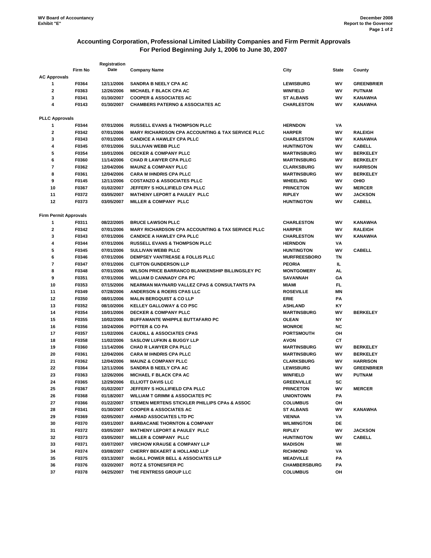# **Accounting Corporation, Professional Limited Liability Companies and Firm Permit Approvals For Period Beginning July 1, 2006 to June 30, 2007**

|                              |         | Registration |                                                              |                     |              |                   |
|------------------------------|---------|--------------|--------------------------------------------------------------|---------------------|--------------|-------------------|
|                              | Firm No | Date         | <b>Company Name</b>                                          | City                | <b>State</b> | County            |
| <b>AC Approvals</b>          |         |              |                                                              |                     |              |                   |
| 1                            | F0364   | 12/11/2006   | SANDRA B NEELY CPA AC                                        | <b>LEWISBURG</b>    | wv           | <b>GREENBRIER</b> |
| 2                            | F0363   | 12/26/2006   | <b>MICHAEL F BLACK CPA AC</b>                                | <b>WINFIELD</b>     | WV           | <b>PUTNAM</b>     |
| 3                            | F0341   | 01/30/2007   | <b>COOPER &amp; ASSOCIATES AC</b>                            | <b>ST ALBANS</b>    | WV           | KANAWHA           |
| 4                            | F0143   | 01/30/2007   | <b>CHAMBERS PATERNO &amp; ASSOCIATES AC</b>                  | <b>CHARLESTON</b>   | WV           | <b>KANAWHA</b>    |
|                              |         |              |                                                              |                     |              |                   |
| <b>PLLC Approvals</b>        |         |              |                                                              |                     |              |                   |
| 1                            | F0344   | 07/01/2006   | <b>RUSSELL EVANS &amp; THOMPSON PLLC</b>                     | <b>HERNDON</b>      | VA           |                   |
| 2                            | F0342   | 07/01/2006   | <b>MARY RICHARDSON CPA ACCOUNTING &amp; TAX SERVICE PLLC</b> | <b>HARPER</b>       | WV           | <b>RALEIGH</b>    |
| 3                            | F0343   | 07/01/2006   | <b>CANDICE A HAWLEY CPA PLLC</b>                             | <b>CHARLESTON</b>   | wv           | <b>KANAWHA</b>    |
| 4                            | F0345   | 07/01/2006   | <b>SULLIVAN WEBB PLLC</b>                                    | <b>HUNTINGTON</b>   | WV           | <b>CABELL</b>     |
| 5                            | F0354   | 10/01/2006   | <b>DECKER &amp; COMPANY PLLC</b>                             | <b>MARTINSBURG</b>  | WV           | <b>BERKELEY</b>   |
| 6                            | F0360   | 11/14/2006   | <b>CHAD R LAWYER CPA PLLC</b>                                | <b>MARTINSBURG</b>  | <b>WV</b>    | <b>BERKELEY</b>   |
| 7                            | F0362   | 12/04/2006   | <b>MAUNZ &amp; COMPANY PLLC</b>                              | <b>CLARKSBURG</b>   | WV           | <b>HARRISON</b>   |
| 8                            | F0361   | 12/04/2006   | <b>CARA M IHNDRIS CPA PLLC</b>                               | <b>MARTINSBURG</b>  | WV           | <b>BERKELEY</b>   |
| 9                            | F0145   | 12/11/2006   | <b>COSTANZO &amp; ASSOCIATES PLLC</b>                        | <b>WHEELING</b>     | wv           | OHIO              |
| 10                           | F0367   | 01/02/2007   | JEFFERY SHOLLIFIELD CPA PLLC                                 | <b>PRINCETON</b>    | WV           | <b>MERCER</b>     |
| 11                           | F0372   | 03/05/2007   | MATHENY LEPORT & PAULEY PLLC                                 | <b>RIPLEY</b>       | WV           | <b>JACKSON</b>    |
| 12                           | F0373   | 03/05/2007   | <b>MILLER &amp; COMPANY PLLC</b>                             | <b>HUNTINGTON</b>   | WV           | <b>CABELL</b>     |
|                              |         |              |                                                              |                     |              |                   |
| <b>Firm Permit Approvals</b> |         |              |                                                              |                     |              |                   |
| 1                            | F0311   | 08/22/2005   | <b>BRUCE LAWSON PLLC</b>                                     | <b>CHARLESTON</b>   | wv           | KANAWHA           |
| 2                            | F0342   | 07/01/2006   | <b>MARY RICHARDSON CPA ACCOUNTING &amp; TAX SERVICE PLLC</b> | <b>HARPER</b>       | WV           | <b>RALEIGH</b>    |
| 3                            | F0343   | 07/01/2006   | <b>CANDICE A HAWLEY CPA PLLC</b>                             | <b>CHARLESTON</b>   | WV           | <b>KANAWHA</b>    |
| 4                            | F0344   | 07/01/2006   | <b>RUSSELL EVANS &amp; THOMPSON PLLC</b>                     | <b>HERNDON</b>      | VA           |                   |
| 5                            | F0345   | 07/01/2006   | <b>SULLIVAN WEBB PLLC</b>                                    | <b>HUNTINGTON</b>   | WV           | <b>CABELL</b>     |
| 6                            | F0346   | 07/01/2006   | DEMPSEY VANTREASE & FOLLIS PLLC                              | <b>MURFREESBORO</b> | ΤN           |                   |
| 7                            | F0347   | 07/01/2006   | <b>CLIFTON GUNDERSON LLP</b>                                 | <b>PEORIA</b>       | IL.          |                   |
| 8                            | F0348   | 07/01/2006   | WILSON PRICE BARRANCO BLANKENSHIP BILLINGSLEY PC             | <b>MONTGOMERY</b>   | AL           |                   |
| 9                            | F0351   | 07/01/2006   | <b>WILLIAM D CANNADY CPA PC</b>                              | <b>SAVANNAH</b>     | GΑ           |                   |
| 10                           | F0353   | 07/15/2006   | NEARMAN MAYNARD VALLEZ CPAS & CONSULTANTS PA                 | <b>MIAMI</b>        | FL.          |                   |
| 11                           | F0349   | 07/28/2006   | <b>ANDERSON &amp; ROERS CPAS LLC</b>                         | <b>ROSEVILLE</b>    | ΜN           |                   |
| 12                           | F0350   | 08/01/2006   | <b>MALIN BERGQUIST &amp; CO LLP</b>                          | ERIE                | PА           |                   |
| 13                           | F0352   | 08/10/2006   | <b>KELLEY GALLOWAY &amp; CO PSC</b>                          | <b>ASHLAND</b>      | ΚY           |                   |
| 14                           | F0354   | 10/01/2006   | <b>DECKER &amp; COMPANY PLLC</b>                             | <b>MARTINSBURG</b>  | WV           | <b>BERKELEY</b>   |
| 15                           | F0355   | 10/02/2006   | <b>BUFFAMANTE WHIPPLE BUTTAFARO PC</b>                       | <b>OLEAN</b>        | NΥ           |                   |
| 16                           | F0356   | 10/24/2006   | <b>POTTER &amp; CO PA</b>                                    | <b>MONROE</b>       | <b>NC</b>    |                   |
| 17                           | F0357   | 11/02/2006   | <b>CAUDILL &amp; ASSOCIATES CPAS</b>                         | <b>PORTSMOUTH</b>   | OН           |                   |
| 18                           | F0358   | 11/02/2006   | <b>SASLOW LUFKIN &amp; BUGGY LLP</b>                         | <b>AVON</b>         | CТ           |                   |
| 19                           | F0360   | 11/14/2006   | <b>CHAD R LAWYER CPA PLLC</b>                                | <b>MARTINSBURG</b>  | WV           | <b>BERKELEY</b>   |
| 20                           | F0361   | 12/04/2006   | <b>CARA M IHNDRIS CPA PLLC</b>                               | <b>MARTINSBURG</b>  | wv           | <b>BERKELEY</b>   |
| 21                           | F0362   | 12/04/2006   | <b>MAUNZ &amp; COMPANY PLLC</b>                              | <b>CLARKSBURG</b>   | WV           | <b>HARRISON</b>   |
| 22                           | F0364   | 12/11/2006   | SANDRA B NEELY CPA AC                                        | <b>LEWISBURG</b>    | WV           | <b>GREENBRIER</b> |
| 23                           | F0363   | 12/26/2006   | <b>MICHAEL F BLACK CPA AC</b>                                | <b>WINFIELD</b>     | WV           | <b>PUTNAM</b>     |
| 24                           | F0365   | 12/29/2006   | ELLIOTT DAVIS LLC                                            | <b>GREENVILLE</b>   | SC           |                   |
| 25                           | F0367   | 01/02/2007   | JEFFERY S HOLLIFIELD CPA PLLC                                | <b>PRINCETON</b>    | WV           | <b>MERCER</b>     |
| 26                           | F0368   | 01/18/2007   | <b>WILLIAM T GRIMM &amp; ASSOCIATES PC</b>                   | <b>UNIONTOWN</b>    | PA           |                   |
| 27                           | F0366   | 01/22/2007   | STEMEN MERTENS STICKLER PHILLIPS CPAs & ASSOC                | <b>COLUMBUS</b>     | OH           |                   |
| 28                           | F0341   | 01/30/2007   | <b>COOPER &amp; ASSOCIATES AC</b>                            | <b>ST ALBANS</b>    | WV           | <b>KANAWHA</b>    |
| 29                           | F0369   | 02/05/2007   | AHMAD ASSOCIATES LTD PC                                      | <b>VIENNA</b>       | VA           |                   |
| 30                           | F0370   | 03/01/2007   | <b>BARBACANE THORNTON &amp; COMPANY</b>                      | <b>WILMINGTON</b>   | DE           |                   |
| 31                           | F0372   | 03/05/2007   | <b>MATHENY LEPORT &amp; PAULEY PLLC</b>                      | <b>RIPLEY</b>       | wv           | <b>JACKSON</b>    |
| 32                           | F0373   | 03/05/2007   | MILLER & COMPANY PLLC                                        | <b>HUNTINGTON</b>   | wv           | <b>CABELL</b>     |
| 33                           | F0371   | 03/07/2007   | <b>VIRCHOW KRAUSE &amp; COMPANY LLP</b>                      | <b>MADISON</b>      | WI           |                   |
| 34                           | F0374   | 03/08/2007   | <b>CHERRY BEKAERT &amp; HOLLAND LLP</b>                      | <b>RICHMOND</b>     | VA           |                   |
| 35                           | F0375   | 03/13/2007   | <b>McGILL POWER BELL &amp; ASSOCIATES LLP</b>                | <b>MEADVILLE</b>    | PA           |                   |
| 36                           | F0376   | 03/20/2007   | <b>ROTZ &amp; STONESIFER PC</b>                              | <b>CHAMBERSBURG</b> | PA           |                   |
| 37                           | F0378   | 04/25/2007   | THE FENTRESS GROUP LLC                                       | <b>COLUMBUS</b>     | OH           |                   |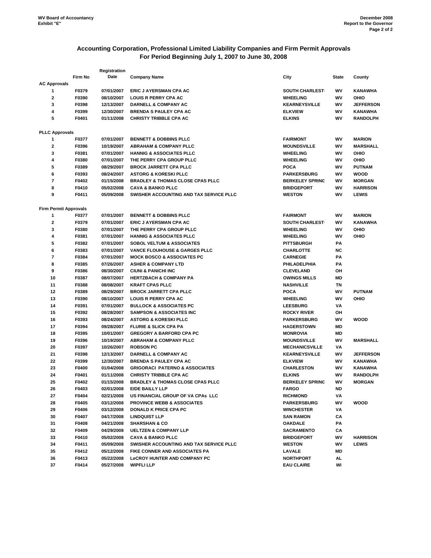# **Accounting Corporation, Professional Limited Liability Companies and Firm Permit Approvals For Period Beginning July 1, 2007 to June 30, 2008**

|                              |         | Registration |                                                                            |                        |              |                  |
|------------------------------|---------|--------------|----------------------------------------------------------------------------|------------------------|--------------|------------------|
|                              | Firm No | Date         | <b>Company Name</b>                                                        | City                   | <b>State</b> | County           |
| <b>AC Approvals</b>          |         |              |                                                                            |                        |              |                  |
| 1                            | F0379   | 07/01/2007   | <b>ERIC J AYERSMAN CPA AC</b>                                              | <b>SOUTH CHARLEST</b>  | WV           | KANAWHA          |
| 2                            | F0390   | 08/10/2007   | <b>LOUIS R PERRY CPA AC</b>                                                | <b>WHEELING</b>        | WV           | OHIO             |
| 3                            | F0398   | 12/13/2007   | <b>DARNELL &amp; COMPANY AC</b>                                            | <b>KEARNEYSVILLE</b>   | wv           | <b>JEFFERSON</b> |
| 4                            | F0399   | 12/30/2007   | <b>BRENDA S PAULEY CPA AC</b>                                              | <b>ELKVIEW</b>         | WV           | KANAWHA          |
| 5                            | F0401   | 01/11/2008   | <b>CHRISTY TRIBBLE CPA AC</b>                                              | <b>ELKINS</b>          | WV           | <b>RANDOLPH</b>  |
| <b>PLLC Approvals</b>        |         |              |                                                                            |                        |              |                  |
| 1                            | F0377   | 07/01/2007   | <b>BENNETT &amp; DOBBINS PLLC</b>                                          | <b>FAIRMONT</b>        | WV           | <b>MARION</b>    |
| 2                            | F0396   | 10/19/2007   | <b>ABRAHAM &amp; COMPANY PLLC</b>                                          | <b>MOUNDSVILLE</b>     | WV           | <b>MARSHALL</b>  |
| 3                            | F0381   | 07/01/2007   | <b>HANNIG &amp; ASSOCIATES PLLC</b>                                        | <b>WHEELING</b>        | wv           | OHIO             |
| 4                            | F0380   | 07/01/2007   | THE PERRY CPA GROUP PLLC                                                   | <b>WHEELING</b>        | WV           | OHIO             |
| 5                            | F0389   | 08/29/2007   | <b>BROCK JARRETT CPA PLLC</b>                                              | <b>POCA</b>            | wv           | <b>PUTNAM</b>    |
| 6                            | F0393   | 08/24/2007   | <b>ASTORG &amp; KORESKI PLLC</b>                                           | <b>PARKERSBURG</b>     | WV           | <b>WOOD</b>      |
| 7                            |         |              |                                                                            |                        | WV           |                  |
|                              | F0402   | 01/15/2008   | <b>BRADLEY &amp; THOMAS CLOSE CPAS PLLC</b>                                | <b>BERKELEY SPRING</b> |              | <b>MORGAN</b>    |
| 8                            | F0410   | 05/02/2008   | <b>CAVA &amp; BANKO PLLC</b>                                               | <b>BRIDGEPORT</b>      | WV           | <b>HARRISON</b>  |
| 9                            | F0411   | 05/09/2008   | SWISHER ACCOUNTING AND TAX SERVICE PLLC                                    | <b>WESTON</b>          | WV           | <b>LEWIS</b>     |
| <b>Firm Permit Approvals</b> |         |              |                                                                            |                        |              |                  |
| 1                            | F0377   | 07/01/2007   | <b>BENNETT &amp; DOBBINS PLLC</b>                                          | <b>FAIRMONT</b>        | WV           | <b>MARION</b>    |
| 2                            | F0379   | 07/01/2007   | <b>ERIC J AYERSMAN CPA AC</b>                                              | <b>SOUTH CHARLEST</b>  | WV           | KANAWHA          |
| 3                            | F0380   | 07/01/2007   | THE PERRY CPA GROUP PLLC                                                   | <b>WHEELING</b>        | WV           | OHIO             |
| 4                            | F0381   | 07/01/2007   | <b>HANNIG &amp; ASSOCIATES PLLC</b>                                        | <b>WHEELING</b>        | WV           | OHIO             |
| 5                            | F0382   | 07/01/2007   | <b>SOBOL VELTUM &amp; ASSOCIATES</b>                                       | <b>PITTSBURGH</b>      | PА           |                  |
| 6                            | F0383   | 07/01/2007   | <b>VANCE FLOUHOUSE &amp; GARGES PLLC</b>                                   | <b>CHARLOTTE</b>       | ΝC           |                  |
| 7                            | F0384   | 07/01/2007   | <b>MOCK BOSCO &amp; ASSOCIATES PC</b>                                      | <b>CARNEGIE</b>        | PА           |                  |
| 8                            | F0385   | 07/26/2007   | <b>ASHER &amp; COMPANY LTD</b>                                             | PHILADELPHIA           | РA           |                  |
| 9                            | F0386   | 08/30/2007   | <b>CIUNI &amp; PANICHI INC</b>                                             | <b>CLEVELAND</b>       | он           |                  |
| 10                           | F0387   | 08/07/2007   | <b>HERTZBACH &amp; COMPANY PA</b>                                          | <b>OWINGS MILLS</b>    | MD           |                  |
| 11                           | F0388   | 08/08/2007   | <b>KRAFT CPAS PLLC</b>                                                     | <b>NASHVILLE</b>       | TN           |                  |
| 12                           | F0389   | 08/29/2007   | <b>BROCK JARRETT CPA PLLC</b>                                              | <b>POCA</b>            | W٧           | <b>PUTNAM</b>    |
| 13                           | F0390   | 08/10/2007   | <b>LOUIS R PERRY CPA AC</b>                                                | <b>WHEELING</b>        | W٧           | OHIO             |
| 14                           | F0391   | 07/01/2007   | <b>BULLOCK &amp; ASSOCIATES PC</b>                                         | <b>LEESBURG</b>        | VA           |                  |
| 15                           | F0392   | 08/28/2007   | <b>SAMPSON &amp; ASSOCIATES INC</b>                                        | <b>ROCKY RIVER</b>     | ОН           |                  |
| 16                           | F0393   | 08/24/2007   | <b>ASTORG &amp; KORESKI PLLC</b>                                           | <b>PARKERSBURG</b>     | wv           | <b>WOOD</b>      |
| 17                           | F0394   | 09/28/2007   | <b>FLURIE &amp; SLICK CPA PA</b>                                           | <b>HAGERSTOWN</b>      | MD           |                  |
| 18                           | F0395   | 10/01/2007   | <b>GREGORY A BARFORD CPA PC</b>                                            | <b>MONROVIA</b>        | MD           |                  |
| 19                           | F0396   | 10/19/2007   | <b>ABRAHAM &amp; COMPANY PLLC</b>                                          | <b>MOUNDSVILLE</b>     | WV           | <b>MARSHALL</b>  |
| 20                           | F0397   | 10/26/2007   | <b>ROBSON PC</b>                                                           | <b>MECHANICSVILLE</b>  | VA           |                  |
| 21                           | F0398   | 12/13/2007   | <b>DARNELL &amp; COMPANY AC</b>                                            | <b>KEARNEYSVILLE</b>   | WV           | <b>JEFFERSON</b> |
| 22                           | F0399   | 12/30/2007   | <b>BRENDA S PAULEY CPA AC</b>                                              | <b>ELKVIEW</b>         | wv           | <b>KANAWHA</b>   |
| 23                           |         | 01/04/2008   |                                                                            | <b>CHARLESTON</b>      | WV           | <b>KANAWHA</b>   |
|                              | F0400   |              | <b>GRIGORACI PATERNO &amp; ASSOCIATES</b><br><b>CHRISTY TRIBBLE CPA AC</b> |                        |              |                  |
| 24                           | F0401   | 01/11/2008   |                                                                            | <b>ELKINS</b>          | WV           | <b>RANDOLPH</b>  |
| 25                           | F0402   | 01/15/2008   | <b>BRADLEY &amp; THOMAS CLOSE CPAS PLLC</b>                                | <b>BERKELEY SPRING</b> | W٧           | <b>MORGAN</b>    |
| 26                           | F0403   | 02/01/2008   | EIDE BAILLY LLP                                                            | <b>FARGO</b>           | ND           |                  |
| 27                           | F0404   | 02/21/2008   | US FINANCIAL GROUP OF VA CPAs LLC                                          | <b>RICHMOND</b>        | VA           |                  |
| 28                           | F0405   | 03/12/2008   | <b>PROVINCE WEBB &amp; ASSOCIATES</b>                                      | <b>PARKERSBURG</b>     | WV           | <b>WOOD</b>      |
| 29                           | F0406   | 03/12/2008   | <b>DONALD K PRICE CPA PC</b>                                               | <b>WINCHESTER</b>      | VA           |                  |
| 30                           | F0407   | 04/17/2008   | <b>LINDQUIST LLP</b>                                                       | <b>SAN RAMON</b>       | СA           |                  |
| 31                           | F0408   | 04/21/2008   | <b>SHARSHAN &amp; CO</b>                                                   | <b>OAKDALE</b>         | PA           |                  |
| 32                           | F0409   | 04/29/2008   | <b>UELTZEN &amp; COMPANY LLP</b>                                           | <b>SACRAMENTO</b>      | СA           |                  |
| 33                           | F0410   | 05/02/2008   | <b>CAVA &amp; BANKO PLLC</b>                                               | <b>BRIDGEPORT</b>      | WV           | <b>HARRISON</b>  |
| 34                           | F0411   | 05/09/2008   | SWISHER ACCOUNTING AND TAX SERVICE PLLC                                    | <b>WESTON</b>          | WV           | <b>LEWIS</b>     |
| 35                           | F0412   | 05/12/2008   | FIKE CONNER AND ASSOCIATES PA                                              | LAVALE                 | MD           |                  |
| 36                           | F0413   | 05/22/2008   | <b>LeCROY HUNTER AND COMPANY PC</b>                                        | <b>NORTHPORT</b>       | AL           |                  |
| 37                           | F0414   | 05/27/2008   | <b>WIPFLI LLP</b>                                                          | <b>EAU CLAIRE</b>      | WI           |                  |
|                              |         |              |                                                                            |                        |              |                  |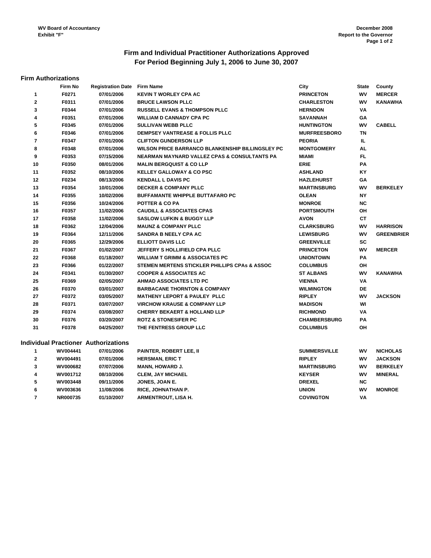# **Firm and Individual Practitioner Authorizations Approved For Period Beginning July 1, 2006 to June 30, 2007**

#### **Firm Authorizations**

|                | Firm No  | <b>Registration Date Firm Name</b>          |                                                          | City                | <b>State</b> | County            |
|----------------|----------|---------------------------------------------|----------------------------------------------------------|---------------------|--------------|-------------------|
| 1              | F0271    | 07/01/2006                                  | <b>KEVIN T WORLEY CPA AC</b>                             | <b>PRINCETON</b>    | WV           | <b>MERCER</b>     |
| $\mathbf{2}$   | F0311    | 07/01/2006                                  | <b>BRUCE LAWSON PLLC</b>                                 | <b>CHARLESTON</b>   | WV           | <b>KANAWHA</b>    |
| 3              | F0344    | 07/01/2006                                  | <b>RUSSELL EVANS &amp; THOMPSON PLLC</b>                 | <b>HERNDON</b>      | VA           |                   |
| 4              | F0351    | 07/01/2006                                  | <b>WILLIAM D CANNADY CPA PC</b>                          | <b>SAVANNAH</b>     | GΑ           |                   |
| 5              | F0345    | 07/01/2006                                  | <b>SULLIVAN WEBB PLLC</b>                                | <b>HUNTINGTON</b>   | W٧           | <b>CABELL</b>     |
| 6              | F0346    | 07/01/2006                                  | <b>DEMPSEY VANTREASE &amp; FOLLIS PLLC</b>               | <b>MURFREESBORO</b> | <b>TN</b>    |                   |
| $\overline{7}$ | F0347    | 07/01/2006                                  | <b>CLIFTON GUNDERSON LLP</b>                             | <b>PEORIA</b>       | IL.          |                   |
| 8              | F0348    | 07/01/2006                                  | WILSON PRICE BARRANCO BLANKENSHIP BILLINGSLEY PC         | <b>MONTGOMERY</b>   | AL           |                   |
| 9              | F0353    | 07/15/2006                                  | NEARMAN MAYNARD VALLEZ CPAS & CONSULTANTS PA             | MIAMI               | FL           |                   |
| 10             | F0350    | 08/01/2006                                  | <b>MALIN BERGQUIST &amp; CO LLP</b>                      | <b>ERIE</b>         | PA           |                   |
| 11             | F0352    | 08/10/2006                                  | <b>KELLEY GALLOWAY &amp; CO PSC</b>                      | <b>ASHLAND</b>      | ΚY           |                   |
| 12             | F0234    | 08/13/2006                                  | <b>KENDALL L DAVIS PC</b>                                | <b>HAZLEHURST</b>   | GA           |                   |
| 13             | F0354    | 10/01/2006                                  | <b>DECKER &amp; COMPANY PLLC</b>                         | <b>MARTINSBURG</b>  | W٧           | <b>BERKELEY</b>   |
| 14             | F0355    | 10/02/2006                                  | <b>BUFFAMANTE WHIPPLE BUTTAFARO PC</b>                   | <b>OLEAN</b>        | <b>NY</b>    |                   |
| 15             | F0356    | 10/24/2006                                  | <b>POTTER &amp; CO PA</b>                                | <b>MONROE</b>       | <b>NC</b>    |                   |
| 16             | F0357    | 11/02/2006                                  | <b>CAUDILL &amp; ASSOCIATES CPAS</b>                     | <b>PORTSMOUTH</b>   | OH           |                   |
| 17             | F0358    | 11/02/2006                                  | <b>SASLOW LUFKIN &amp; BUGGY LLP</b>                     | <b>AVON</b>         | СT           |                   |
| 18             | F0362    | 12/04/2006                                  | <b>MAUNZ &amp; COMPANY PLLC</b>                          | <b>CLARKSBURG</b>   | W٧           | <b>HARRISON</b>   |
| 19             | F0364    | 12/11/2006                                  | <b>SANDRA B NEELY CPA AC</b>                             | <b>LEWISBURG</b>    | WV           | <b>GREENBRIER</b> |
| 20             | F0365    | 12/29/2006                                  | <b>ELLIOTT DAVIS LLC</b>                                 | <b>GREENVILLE</b>   | SC           |                   |
| 21             | F0367    | 01/02/2007                                  | <b>JEFFERY S HOLLIFIELD CPA PLLC</b>                     | <b>PRINCETON</b>    | WV           | <b>MERCER</b>     |
| 22             | F0368    | 01/18/2007                                  | <b>WILLIAM T GRIMM &amp; ASSOCIATES PC</b>               | <b>UNIONTOWN</b>    | PA           |                   |
| 23             | F0366    | 01/22/2007                                  | <b>STEMEN MERTENS STICKLER PHILLIPS CPAs &amp; ASSOC</b> | <b>COLUMBUS</b>     | OH           |                   |
| 24             | F0341    | 01/30/2007                                  | <b>COOPER &amp; ASSOCIATES AC</b>                        | <b>ST ALBANS</b>    | WV           | <b>KANAWHA</b>    |
| 25             | F0369    | 02/05/2007                                  | <b>AHMAD ASSOCIATES LTD PC</b>                           | <b>VIENNA</b>       | VA           |                   |
| 26             | F0370    | 03/01/2007                                  | <b>BARBACANE THORNTON &amp; COMPANY</b>                  | <b>WILMINGTON</b>   | DE           |                   |
| 27             | F0372    | 03/05/2007                                  | <b>MATHENY LEPORT &amp; PAULEY PLLC</b>                  | <b>RIPLEY</b>       | WV           | <b>JACKSON</b>    |
| 28             | F0371    | 03/07/2007                                  | <b>VIRCHOW KRAUSE &amp; COMPANY LLP</b>                  | <b>MADISON</b>      | WI           |                   |
| 29             | F0374    | 03/08/2007                                  | <b>CHERRY BEKAERT &amp; HOLLAND LLP</b>                  | <b>RICHMOND</b>     | VA           |                   |
| 30             | F0376    | 03/20/2007                                  | <b>ROTZ &amp; STONESIFER PC</b>                          | <b>CHAMBERSBURG</b> | PA           |                   |
| 31             | F0378    | 04/25/2007                                  | THE FENTRESS GROUP LLC                                   | <b>COLUMBUS</b>     | OH           |                   |
|                |          | <b>Individual Practioner Authorizations</b> |                                                          |                     |              |                   |
| $\mathbf{1}$   | WV004441 | 07/01/2006                                  | <b>PAINTER, ROBERT LEE, II</b>                           | <b>SUMMERSVILLE</b> | W٧           | <b>NICHOLAS</b>   |
| $\mathbf{2}$   | WV004491 | 07/01/2006                                  | <b>HERSMAN, ERIC T</b>                                   | <b>RIPLEY</b>       | W٧           | <b>JACKSON</b>    |
| 3              | WV000682 | 07/07/2006                                  | <b>MANN, HOWARD J.</b>                                   | <b>MARTINSBURG</b>  | WV           | <b>BERKELEY</b>   |
| 4              | WV001712 | 08/10/2006                                  | <b>CLEM, JAY MICHAEL</b>                                 | <b>KEYSER</b>       | W٧           | <b>MINERAL</b>    |
| 5              | WV003448 | 09/11/2006                                  | JONES, JOAN E.                                           | <b>DREXEL</b>       | <b>NC</b>    |                   |
| 6              | WV003636 | 11/08/2006                                  | RICE, JOHNATHAN P.                                       | <b>UNION</b>        | WV           | <b>MONROE</b>     |
| $\overline{7}$ | NR000735 | 01/10/2007                                  | <b>ARMENTROUT, LISA H.</b>                               | <b>COVINGTON</b>    | VA           |                   |
|                |          |                                             |                                                          |                     |              |                   |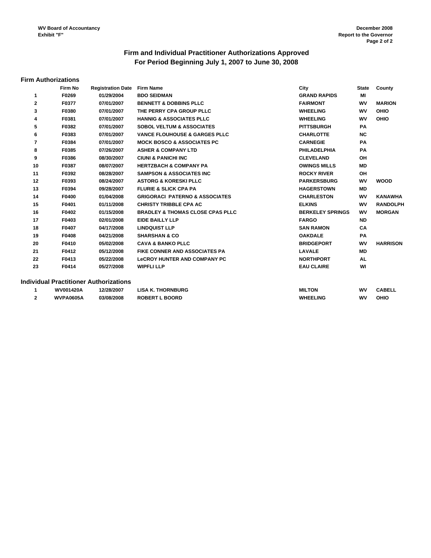# **For Period Beginning July 1, 2007 to June 30, 2008 Firm and Individual Practitioner Authorizations Approved**

#### **Firm Authorizations**

|              | Firm No | <b>Registration Date</b>               | <b>Firm Name</b>                            | City                    | <b>State</b> | County          |
|--------------|---------|----------------------------------------|---------------------------------------------|-------------------------|--------------|-----------------|
| $\mathbf{1}$ | F0269   | 01/29/2004                             | <b>BDO SEIDMAN</b>                          | <b>GRAND RAPIDS</b>     | MI           |                 |
| $\mathbf{2}$ | F0377   | 07/01/2007                             | <b>BENNETT &amp; DOBBINS PLLC</b>           | <b>FAIRMONT</b>         | WV           | <b>MARION</b>   |
| 3            | F0380   | 07/01/2007                             | THE PERRY CPA GROUP PLLC                    | <b>WHEELING</b>         | WV           | OHIO            |
| 4            | F0381   | 07/01/2007                             | <b>HANNIG &amp; ASSOCIATES PLLC</b>         | <b>WHEELING</b>         | WV           | OHIO            |
| 5            | F0382   | 07/01/2007                             | <b>SOBOL VELTUM &amp; ASSOCIATES</b>        | <b>PITTSBURGH</b>       | <b>PA</b>    |                 |
| 6            | F0383   | 07/01/2007                             | <b>VANCE FLOUHOUSE &amp; GARGES PLLC</b>    | <b>CHARLOTTE</b>        | <b>NC</b>    |                 |
| 7            | F0384   | 07/01/2007                             | <b>MOCK BOSCO &amp; ASSOCIATES PC</b>       | <b>CARNEGIE</b>         | <b>PA</b>    |                 |
| 8            | F0385   | 07/26/2007                             | <b>ASHER &amp; COMPANY LTD</b>              | <b>PHILADELPHIA</b>     | <b>PA</b>    |                 |
| 9            | F0386   | 08/30/2007                             | <b>CIUNI &amp; PANICHI INC</b>              | <b>CLEVELAND</b>        | OH           |                 |
| 10           | F0387   | 08/07/2007                             | <b>HERTZBACH &amp; COMPANY PA</b>           | <b>OWINGS MILLS</b>     | <b>MD</b>    |                 |
| 11           | F0392   | 08/28/2007                             | <b>SAMPSON &amp; ASSOCIATES INC.</b>        | <b>ROCKY RIVER</b>      | OH           |                 |
| 12           | F0393   | 08/24/2007                             | <b>ASTORG &amp; KORESKI PLLC</b>            | <b>PARKERSBURG</b>      | WV           | <b>WOOD</b>     |
| 13           | F0394   | 09/28/2007                             | <b>FLURIE &amp; SLICK CPA PA</b>            | <b>HAGERSTOWN</b>       | <b>MD</b>    |                 |
| 14           | F0400   | 01/04/2008                             | <b>GRIGORACI PATERNO &amp; ASSOCIATES</b>   | <b>CHARLESTON</b>       | wv           | <b>KANAWHA</b>  |
| 15           | F0401   | 01/11/2008                             | <b>CHRISTY TRIBBLE CPA AC</b>               | <b>ELKINS</b>           | wv           | <b>RANDOLPH</b> |
| 16           | F0402   | 01/15/2008                             | <b>BRADLEY &amp; THOMAS CLOSE CPAS PLLC</b> | <b>BERKELEY SPRINGS</b> | WV           | <b>MORGAN</b>   |
| 17           | F0403   | 02/01/2008                             | <b>EIDE BAILLY LLP</b>                      | <b>FARGO</b>            | <b>ND</b>    |                 |
| 18           | F0407   | 04/17/2008                             | <b>LINDQUIST LLP</b>                        | <b>SAN RAMON</b>        | CA           |                 |
| 19           | F0408   | 04/21/2008                             | <b>SHARSHAN &amp; CO</b>                    | <b>OAKDALE</b>          | <b>PA</b>    |                 |
| 20           | F0410   | 05/02/2008                             | <b>CAVA &amp; BANKO PLLC</b>                | <b>BRIDGEPORT</b>       | WV           | <b>HARRISON</b> |
| 21           | F0412   | 05/12/2008                             | <b>FIKE CONNER AND ASSOCIATES PA</b>        | <b>LAVALE</b>           | <b>MD</b>    |                 |
| 22           | F0413   | 05/22/2008                             | <b>LeCROY HUNTER AND COMPANY PC</b>         | <b>NORTHPORT</b>        | AL           |                 |
| 23           | F0414   | 05/27/2008                             | <b>WIPFLI LLP</b>                           | <b>EAU CLAIRE</b>       | WI           |                 |
|              |         | Individual Practitioner Authorizations |                                             |                         |              |                 |
|              |         |                                        |                                             |                         |              |                 |

| <b>WV001420A</b> | 12/28/2007 | <b>LISA K. THORNBURG</b>        | <b>MILTON</b>   | wv | <b>CABELL</b> |
|------------------|------------|---------------------------------|-----------------|----|---------------|
| <b>WVPA0605A</b> | 03/08/2008 | <b>ROBERT I</b><br><b>BOORD</b> | <b>WHEELING</b> | wv | OHIC          |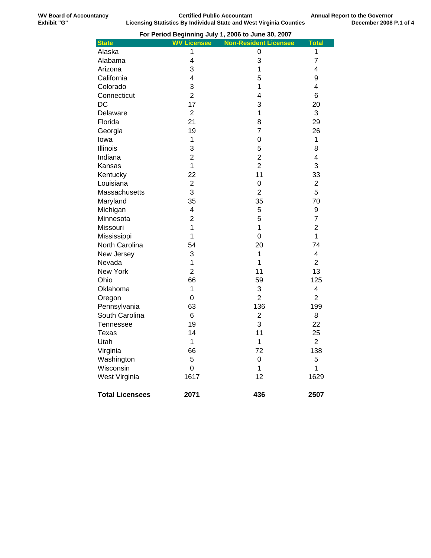|                        |                    | For Period Beginning July 1, 2006 to June 30, 2007 |                |
|------------------------|--------------------|----------------------------------------------------|----------------|
| <b>State</b>           | <b>WV Licensee</b> | <b>Non-Resident Licensee</b>                       | <b>Total</b>   |
| Alaska                 | 1                  | 0                                                  | 1              |
| Alabama                | $\overline{4}$     | 3                                                  | $\overline{7}$ |
| Arizona                | 3                  | $\mathbf 1$                                        | 4              |
| California             | 4                  | 5                                                  | 9              |
| Colorado               | 3                  | 1                                                  | 4              |
| Connecticut            | $\overline{2}$     | 4                                                  | 6              |
| <b>DC</b>              | 17                 | 3                                                  | 20             |
| Delaware               | $\overline{2}$     | 1                                                  | 3              |
| Florida                | 21                 | 8                                                  | 29             |
| Georgia                | 19                 | 7                                                  | 26             |
| lowa                   | $\mathbf 1$        | $\mathsf 0$                                        | $\mathbf{1}$   |
| Illinois               | 3                  | 5                                                  | 8              |
| Indiana                | $\overline{2}$     | $\overline{2}$                                     | 4              |
| Kansas                 | $\mathbf 1$        | $\overline{2}$                                     | 3              |
| Kentucky               | 22                 | 11                                                 | 33             |
| Louisiana              | $\overline{c}$     | $\mathbf 0$                                        | $\overline{2}$ |
| Massachusetts          | 3                  | $\overline{2}$                                     | 5              |
| Maryland               | 35                 | 35                                                 | 70             |
| Michigan               | 4                  | 5                                                  | 9              |
| Minnesota              | $\overline{2}$     | 5                                                  | $\overline{7}$ |
| Missouri               | $\overline{1}$     | $\overline{1}$                                     | $\overline{2}$ |
| Mississippi            | 1                  | $\mathbf 0$                                        | 1              |
| North Carolina         | 54                 | 20                                                 | 74             |
| New Jersey             | 3                  | 1                                                  | 4              |
| Nevada                 | $\overline{1}$     | $\overline{1}$                                     | $\overline{2}$ |
| <b>New York</b>        | $\overline{2}$     | 11                                                 | 13             |
| Ohio                   | 66                 | 59                                                 | 125            |
| Oklahoma               | 1                  | 3                                                  | 4              |
| Oregon                 | 0                  | $\overline{2}$                                     | $\overline{2}$ |
| Pennsylvania           | 63                 | 136                                                | 199            |
| South Carolina         | 6                  | $\overline{2}$                                     | 8              |
| Tennessee              | 19                 | 3                                                  | 22             |
| <b>Texas</b>           | 14                 | 11                                                 | 25             |
| Utah                   | $\mathbf{1}$       | $\mathbf{1}$                                       | $\overline{2}$ |
| Virginia               | 66                 | 72                                                 | 138            |
| Washington             | 5                  | $\mathbf 0$                                        | 5              |
| Wisconsin              | $\mathbf 0$        | 1                                                  | 1              |
| West Virginia          | 1617               | 12                                                 | 1629           |
| <b>Total Licensees</b> | 2071               | 436                                                | 2507           |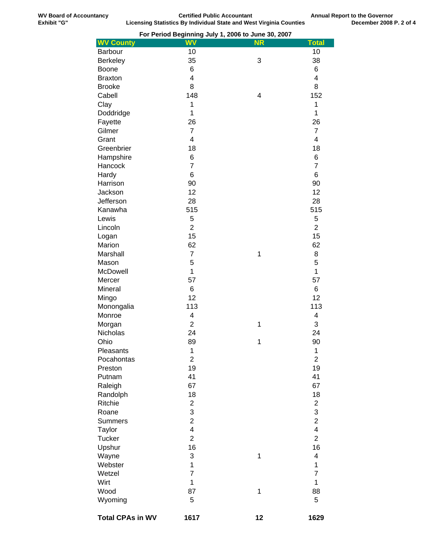|                         |                         | For Period Beginning July 1, 2006 to June 30, 2007 |                         |
|-------------------------|-------------------------|----------------------------------------------------|-------------------------|
| <b>WV County</b>        | <b>WV</b>               | <b>NR</b>                                          | <b>Total</b>            |
| Barbour                 | 10                      |                                                    | 10                      |
| <b>Berkeley</b>         | 35                      | 3                                                  | 38                      |
| <b>Boone</b>            | 6                       |                                                    | 6                       |
| <b>Braxton</b>          | $\overline{\mathbf{4}}$ |                                                    | 4                       |
|                         |                         |                                                    |                         |
| <b>Brooke</b>           | 8                       |                                                    | 8                       |
| Cabell                  | 148                     | 4                                                  | 152                     |
| Clay                    | 1                       |                                                    | 1                       |
| Doddridge               | $\mathbf{1}$            |                                                    | 1                       |
| Fayette                 | 26                      |                                                    | 26                      |
| Gilmer                  | $\overline{7}$          |                                                    | $\overline{7}$          |
| Grant                   | $\overline{4}$          |                                                    | 4                       |
| Greenbrier              | 18                      |                                                    | 18                      |
| Hampshire               | 6                       |                                                    | 6                       |
| Hancock                 | $\overline{7}$          |                                                    | $\overline{7}$          |
|                         |                         |                                                    |                         |
| Hardy                   | 6                       |                                                    | 6                       |
| Harrison                | 90                      |                                                    | 90                      |
| Jackson                 | 12                      |                                                    | 12                      |
| Jefferson               | 28                      |                                                    | 28                      |
| Kanawha                 | 515                     |                                                    | 515                     |
| Lewis                   | 5                       |                                                    | 5                       |
| Lincoln                 | $\overline{2}$          |                                                    | $\overline{2}$          |
| Logan                   | 15                      |                                                    | 15                      |
| Marion                  | 62                      |                                                    | 62                      |
| Marshall                | $\overline{7}$          | $\mathbf 1$                                        | 8                       |
|                         |                         |                                                    | 5                       |
| Mason                   | 5                       |                                                    |                         |
| McDowell                | 1                       |                                                    | $\mathbf{1}$            |
| Mercer                  | 57                      |                                                    | 57                      |
| Mineral                 | 6                       |                                                    | 6                       |
| Mingo                   | 12                      |                                                    | 12                      |
| Monongalia              | 113                     |                                                    | 113                     |
| Monroe                  | 4                       |                                                    | 4                       |
| Morgan                  | $\overline{2}$          | 1                                                  | 3                       |
| <b>Nicholas</b>         | 24                      |                                                    | 24                      |
| Ohio                    | 89                      | 1                                                  | 90                      |
| Pleasants               | 1                       |                                                    | 1                       |
| Pocahontas              | $\overline{c}$          |                                                    | $\overline{c}$          |
|                         |                         |                                                    |                         |
| Preston                 | 19                      |                                                    | 19                      |
| Putnam                  | 41                      |                                                    | 41                      |
| Raleigh                 | 67                      |                                                    | 67                      |
| Randolph                | 18                      |                                                    | 18                      |
| Ritchie                 | $\overline{\mathbf{c}}$ |                                                    | $\overline{\mathbf{c}}$ |
| Roane                   | 3                       |                                                    | 3                       |
| <b>Summers</b>          | $\overline{2}$          |                                                    | $\overline{2}$          |
| Taylor                  | $\overline{\mathbf{4}}$ |                                                    | 4                       |
| <b>Tucker</b>           | $\overline{2}$          |                                                    | $\overline{2}$          |
| Upshur                  | 16                      |                                                    | 16                      |
| Wayne                   | 3                       | 1                                                  | 4                       |
| Webster                 | 1                       |                                                    | 1                       |
|                         |                         |                                                    |                         |
| Wetzel                  | $\overline{7}$          |                                                    | $\overline{7}$          |
| Wirt                    | 1                       |                                                    | 1                       |
| Wood                    | 87                      | $\mathbf 1$                                        | 88                      |
| Wyoming                 | 5                       |                                                    | 5                       |
| <b>Total CPAs in WV</b> | 1617                    | 12                                                 | 1629                    |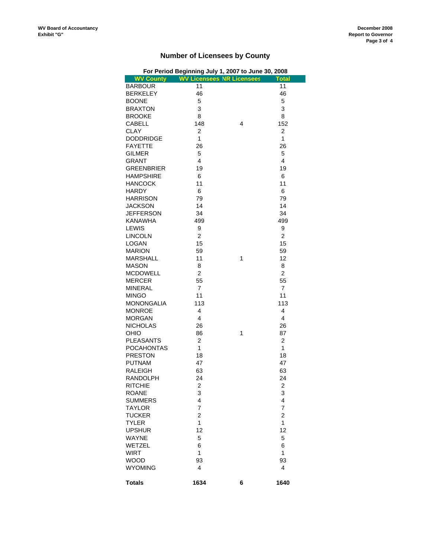# **Number of Licensees by County**

|                   | For Period Beginning July 1, 2007 to June 30, 2008 |   |                |
|-------------------|----------------------------------------------------|---|----------------|
| <b>WV County</b>  | <b>WV Licensees NR Licensees</b>                   |   | <b>Total</b>   |
| <b>BARBOUR</b>    | 11                                                 |   | 11             |
| <b>BERKELEY</b>   | 46                                                 |   | 46             |
| <b>BOONE</b>      | 5                                                  |   | 5              |
| <b>BRAXTON</b>    | 3                                                  |   | 3              |
|                   |                                                    |   |                |
| <b>BROOKE</b>     | 8                                                  |   | 8              |
| CABELL            | 148                                                | 4 | 152            |
| <b>CLAY</b>       | $\overline{c}$                                     |   | $\overline{2}$ |
| <b>DODDRIDGE</b>  | 1                                                  |   | 1              |
| <b>FAYETTE</b>    | 26                                                 |   | 26             |
| <b>GILMER</b>     | 5                                                  |   | 5              |
| <b>GRANT</b>      | 4                                                  |   | 4              |
| <b>GREENBRIER</b> | 19                                                 |   | 19             |
| <b>HAMPSHIRE</b>  | 6                                                  |   | 6              |
| <b>HANCOCK</b>    | 11                                                 |   | 11             |
|                   |                                                    |   |                |
| <b>HARDY</b>      | 6                                                  |   | 6              |
| <b>HARRISON</b>   | 79                                                 |   | 79             |
| <b>JACKSON</b>    | 14                                                 |   | 14             |
| <b>JEFFERSON</b>  | 34                                                 |   | 34             |
| <b>KANAWHA</b>    | 499                                                |   | 499            |
| LEWIS             | 9                                                  |   | 9              |
| <b>LINCOLN</b>    | $\overline{2}$                                     |   | $\overline{2}$ |
| LOGAN             | 15                                                 |   | 15             |
| <b>MARION</b>     | 59                                                 |   | 59             |
| <b>MARSHALL</b>   | 11                                                 | 1 | 12             |
|                   |                                                    |   |                |
| <b>MASON</b>      | 8                                                  |   | 8              |
| <b>MCDOWELL</b>   | $\overline{2}$                                     |   | $\overline{c}$ |
| <b>MERCER</b>     | 55                                                 |   | 55             |
| <b>MINERAL</b>    | $\overline{7}$                                     |   | $\overline{7}$ |
| <b>MINGO</b>      | 11                                                 |   | 11             |
| <b>MONONGALIA</b> | 113                                                |   | 113            |
| <b>MONROE</b>     | 4                                                  |   | 4              |
| MORGAN            | 4                                                  |   | 4              |
| <b>NICHOLAS</b>   | 26                                                 |   | 26             |
| OHIO              | 86                                                 | 1 | 87             |
| <b>PLEASANTS</b>  | $\overline{c}$                                     |   | 2              |
| <b>POCAHONTAS</b> | $\mathbf{1}$                                       |   | 1              |
| <b>PRESTON</b>    |                                                    |   |                |
|                   | 18                                                 |   | 18             |
| <b>PUTNAM</b>     | 47                                                 |   | 47             |
| <b>RALEIGH</b>    | 63                                                 |   | 63             |
| <b>RANDOLPH</b>   | 24                                                 |   | 24             |
| RITCHIE           | $\sqrt{2}$                                         |   | $\sqrt{2}$     |
| <b>ROANE</b>      | 3                                                  |   | 3              |
| <b>SUMMERS</b>    | 4                                                  |   | 4              |
| TAYLOR            | 7                                                  |   | 7              |
| <b>TUCKER</b>     | $\overline{c}$                                     |   | $\overline{2}$ |
| <b>TYLER</b>      | 1                                                  |   | 1              |
| <b>UPSHUR</b>     | 12                                                 |   | 12             |
|                   |                                                    |   |                |
| <b>WAYNE</b>      | 5                                                  |   | 5              |
| WETZEL            | 6                                                  |   | 6              |
| <b>WIRT</b>       | 1                                                  |   | 1              |
| <b>WOOD</b>       | 93                                                 |   | 93             |
| <b>WYOMING</b>    | 4                                                  |   | 4              |
| <b>Totals</b>     | 1634                                               | 6 | 1640           |